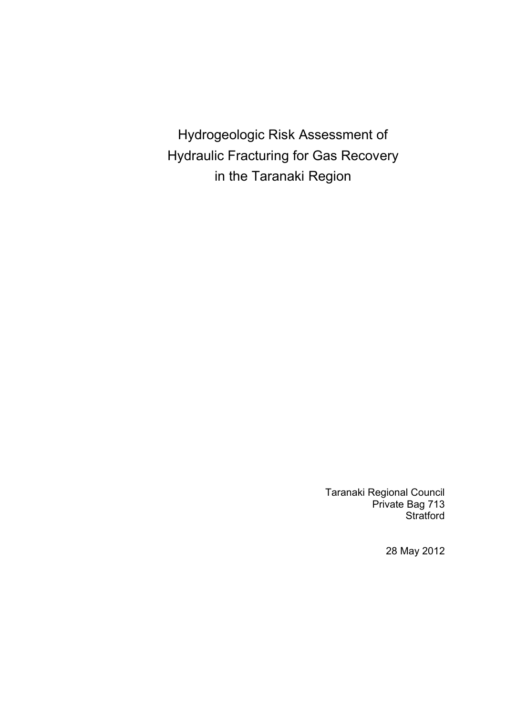Hydrogeologic Risk Assessment of Hydraulic Fracturing for Gas Recovery in the Taranaki Region

> Taranaki Regional Council Private Bag 713 **Stratford**

> > 28 May 2012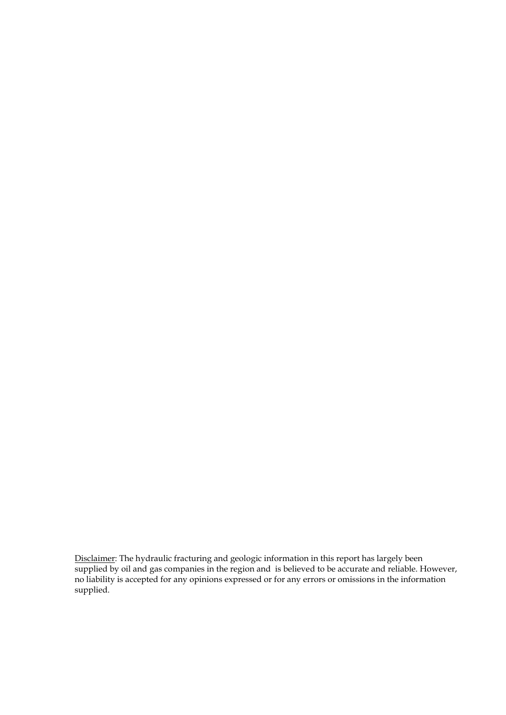Disclaimer: The hydraulic fracturing and geologic information in this report has largely been supplied by oil and gas companies in the region and is believed to be accurate and reliable. However, no liability is accepted for any opinions expressed or for any errors or omissions in the information supplied.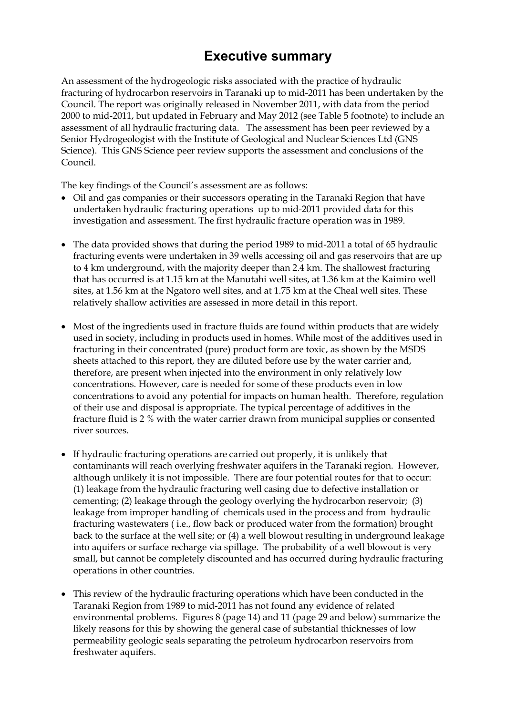# **Executive summary**

An assessment of the hydrogeologic risks associated with the practice of hydraulic fracturing of hydrocarbon reservoirs in Taranaki up to mid-2011 has been undertaken by the Council. The report was originally released in November 2011, with data from the period 2000 to mid-2011, but updated in February and May 2012 (see Table 5 footnote) to include an assessment of all hydraulic fracturing data. The assessment has been peer reviewed by a Senior Hydrogeologist with the Institute of Geological and Nuclear Sciences Ltd (GNS Science). This GNS Science peer review supports the assessment and conclusions of the Council.

The key findings of the Council's assessment are as follows:

- Oil and gas companies or their successors operating in the Taranaki Region that have undertaken hydraulic fracturing operations up to mid-2011 provided data for this investigation and assessment. The first hydraulic fracture operation was in 1989.
- The data provided shows that during the period 1989 to mid-2011 a total of 65 hydraulic fracturing events were undertaken in 39 wells accessing oil and gas reservoirs that are up to 4 km underground, with the majority deeper than 2.4 km. The shallowest fracturing that has occurred is at 1.15 km at the Manutahi well sites, at 1.36 km at the Kaimiro well sites, at 1.56 km at the Ngatoro well sites, and at 1.75 km at the Cheal well sites. These relatively shallow activities are assessed in more detail in this report.
- Most of the ingredients used in fracture fluids are found within products that are widely used in society, including in products used in homes. While most of the additives used in fracturing in their concentrated (pure) product form are toxic, as shown by the MSDS sheets attached to this report, they are diluted before use by the water carrier and, therefore, are present when injected into the environment in only relatively low concentrations. However, care is needed for some of these products even in low concentrations to avoid any potential for impacts on human health. Therefore, regulation of their use and disposal is appropriate. The typical percentage of additives in the fracture fluid is 2 % with the water carrier drawn from municipal supplies or consented river sources.
- If hydraulic fracturing operations are carried out properly, it is unlikely that contaminants will reach overlying freshwater aquifers in the Taranaki region. However, although unlikely it is not impossible. There are four potential routes for that to occur: (1) leakage from the hydraulic fracturing well casing due to defective installation or cementing; (2) leakage through the geology overlying the hydrocarbon reservoir; (3) leakage from improper handling of chemicals used in the process and from hydraulic fracturing wastewaters ( i.e., flow back or produced water from the formation) brought back to the surface at the well site; or (4) a well blowout resulting in underground leakage into aquifers or surface recharge via spillage. The probability of a well blowout is very small, but cannot be completely discounted and has occurred during hydraulic fracturing operations in other countries.
- This review of the hydraulic fracturing operations which have been conducted in the Taranaki Region from 1989 to mid-2011 has not found any evidence of related environmental problems. Figures 8 (page 14) and 11 (page 29 and below) summarize the likely reasons for this by showing the general case of substantial thicknesses of low permeability geologic seals separating the petroleum hydrocarbon reservoirs from freshwater aquifers.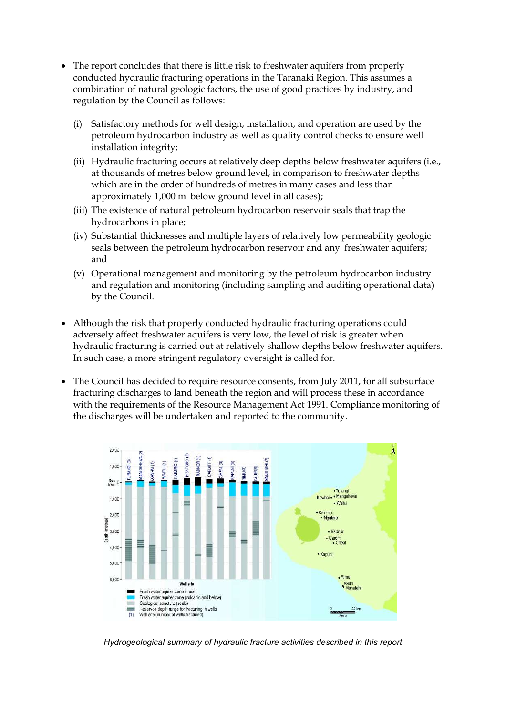- The report concludes that there is little risk to freshwater aquifers from properly conducted hydraulic fracturing operations in the Taranaki Region. This assumes a combination of natural geologic factors, the use of good practices by industry, and regulation by the Council as follows:
	- (i) Satisfactory methods for well design, installation, and operation are used by the petroleum hydrocarbon industry as well as quality control checks to ensure well installation integrity;
	- (ii) Hydraulic fracturing occurs at relatively deep depths below freshwater aquifers (i.e., at thousands of metres below ground level, in comparison to freshwater depths which are in the order of hundreds of metres in many cases and less than approximately 1,000 m below ground level in all cases);
	- (iii) The existence of natural petroleum hydrocarbon reservoir seals that trap the hydrocarbons in place;
	- (iv) Substantial thicknesses and multiple layers of relatively low permeability geologic seals between the petroleum hydrocarbon reservoir and any freshwater aquifers; and
	- (v) Operational management and monitoring by the petroleum hydrocarbon industry and regulation and monitoring (including sampling and auditing operational data) by the Council.
- Although the risk that properly conducted hydraulic fracturing operations could adversely affect freshwater aquifers is very low, the level of risk is greater when hydraulic fracturing is carried out at relatively shallow depths below freshwater aquifers. In such case, a more stringent regulatory oversight is called for.
- The Council has decided to require resource consents, from July 2011, for all subsurface fracturing discharges to land beneath the region and will process these in accordance with the requirements of the Resource Management Act 1991. Compliance monitoring of the discharges will be undertaken and reported to the community.



*Hydrogeological summary of hydraulic fracture activities described in this report*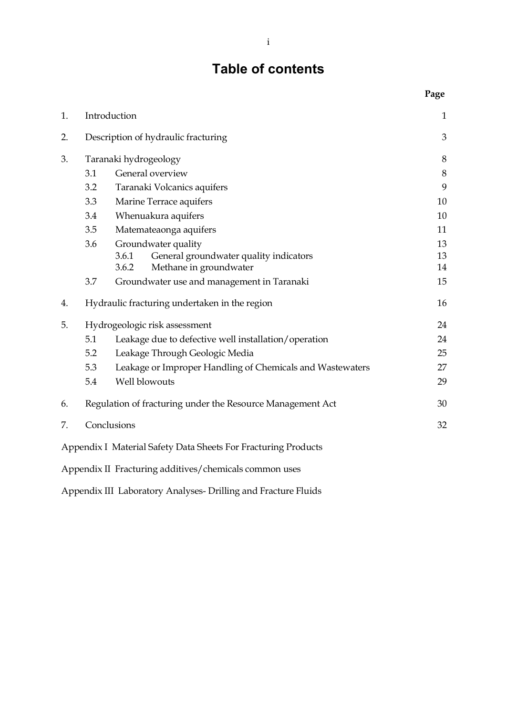# **Table of contents**

|    |     |                                                                | Page    |
|----|-----|----------------------------------------------------------------|---------|
| 1. |     | Introduction                                                   | 1       |
| 2. |     | Description of hydraulic fracturing                            | 3       |
| 3. |     | Taranaki hydrogeology                                          | 8       |
|    | 3.1 | General overview                                               | $\,8\,$ |
|    | 3.2 | Taranaki Volcanics aquifers                                    | 9       |
|    | 3.3 | Marine Terrace aquifers                                        | 10      |
|    | 3.4 | Whenuakura aquifers                                            | 10      |
|    | 3.5 | Matemateaonga aquifers                                         | 11      |
|    | 3.6 | Groundwater quality                                            | 13      |
|    |     | General groundwater quality indicators<br>3.6.1                | 13      |
|    |     | 3.6.2<br>Methane in groundwater                                | 14      |
|    | 3.7 | Groundwater use and management in Taranaki                     | 15      |
| 4. |     | Hydraulic fracturing undertaken in the region                  | 16      |
| 5. |     | Hydrogeologic risk assessment                                  | 24      |
|    | 5.1 | Leakage due to defective well installation/operation           | 24      |
|    | 5.2 | Leakage Through Geologic Media                                 | 25      |
|    | 5.3 | Leakage or Improper Handling of Chemicals and Wastewaters      | 27      |
|    | 5.4 | Well blowouts                                                  | 29      |
| 6. |     | Regulation of fracturing under the Resource Management Act     | 30      |
| 7. |     | Conclusions                                                    | 32      |
|    |     | Appendix I Material Safety Data Sheets For Fracturing Products |         |
|    |     | Appendix II Fracturing additives/chemicals common uses         |         |

Appendix III Laboratory Analyses- Drilling and Fracture Fluids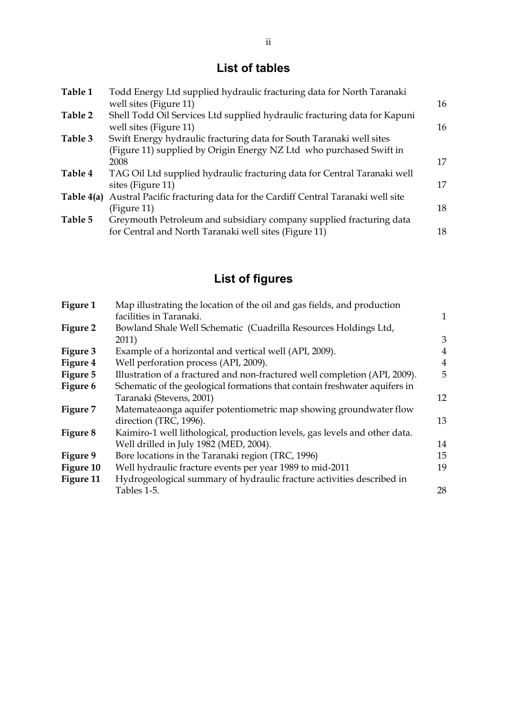# **List of tables**

| Table 1      | Todd Energy Ltd supplied hydraulic fracturing data for North Taranaki      |    |
|--------------|----------------------------------------------------------------------------|----|
|              | well sites (Figure 11)                                                     | 16 |
| Table 2      | Shell Todd Oil Services Ltd supplied hydraulic fracturing data for Kapuni  |    |
|              | well sites (Figure 11)                                                     | 16 |
| Table 3      | Swift Energy hydraulic fracturing data for South Taranaki well sites       |    |
|              | (Figure 11) supplied by Origin Energy NZ Ltd who purchased Swift in        |    |
|              | 2008                                                                       | 17 |
| Table 4      | TAG Oil Ltd supplied hydraulic fracturing data for Central Taranaki well   |    |
|              | sites (Figure 11)                                                          | 17 |
| Table $4(a)$ | Austral Pacific fracturing data for the Cardiff Central Taranaki well site |    |
|              | (Figure 11)                                                                | 18 |
| Table 5      | Greymouth Petroleum and subsidiary company supplied fracturing data        |    |
|              | for Central and North Taranaki well sites (Figure 11)                      | 18 |
|              |                                                                            |    |

# **List of figures**

| Figure 1  | Map illustrating the location of the oil and gas fields, and production<br>facilities in Taranaki. | 1              |
|-----------|----------------------------------------------------------------------------------------------------|----------------|
| Figure 2  | Bowland Shale Well Schematic (Cuadrilla Resources Holdings Ltd,                                    |                |
|           | 2011)                                                                                              | 3              |
| Figure 3  | Example of a horizontal and vertical well (API, 2009).                                             | 4              |
| Figure 4  | Well perforation process (API, 2009).                                                              | $\overline{4}$ |
| Figure 5  | Illustration of a fractured and non-fractured well completion (API, 2009).                         | 5              |
| Figure 6  | Schematic of the geological formations that contain freshwater aquifers in                         |                |
|           | Taranaki (Stevens, 2001)                                                                           | 12             |
| Figure 7  | Matemateaonga aquifer potentiometric map showing groundwater flow                                  |                |
|           | direction (TRC, 1996).                                                                             | 13             |
| Figure 8  | Kaimiro-1 well lithological, production levels, gas levels and other data.                         |                |
|           | Well drilled in July 1982 (MED, 2004).                                                             | 14             |
| Figure 9  | Bore locations in the Taranaki region (TRC, 1996)                                                  | 15             |
| Figure 10 | Well hydraulic fracture events per year 1989 to mid-2011                                           | 19             |
| Figure 11 | Hydrogeological summary of hydraulic fracture activities described in                              |                |
|           | Tables 1-5.                                                                                        | 28             |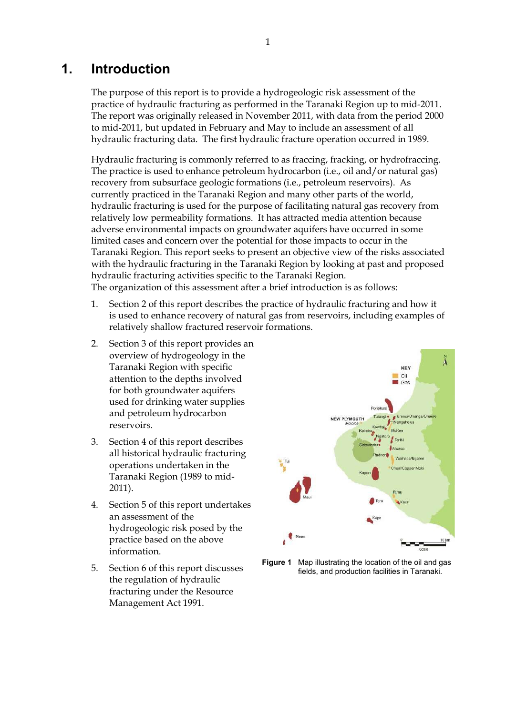## **1. Introduction**

The purpose of this report is to provide a hydrogeologic risk assessment of the practice of hydraulic fracturing as performed in the Taranaki Region up to mid-2011. The report was originally released in November 2011, with data from the period 2000 to mid-2011, but updated in February and May to include an assessment of all hydraulic fracturing data. The first hydraulic fracture operation occurred in 1989.

Hydraulic fracturing is commonly referred to as fraccing, fracking, or hydrofraccing. The practice is used to enhance petroleum hydrocarbon (i.e., oil and/or natural gas) recovery from subsurface geologic formations (i.e., petroleum reservoirs). As currently practiced in the Taranaki Region and many other parts of the world, hydraulic fracturing is used for the purpose of facilitating natural gas recovery from relatively low permeability formations. It has attracted media attention because adverse environmental impacts on groundwater aquifers have occurred in some limited cases and concern over the potential for those impacts to occur in the Taranaki Region. This report seeks to present an objective view of the risks associated with the hydraulic fracturing in the Taranaki Region by looking at past and proposed hydraulic fracturing activities specific to the Taranaki Region. The organization of this assessment after a brief introduction is as follows:

- 1. Section 2 of this report describes the practice of hydraulic fracturing and how it is used to enhance recovery of natural gas from reservoirs, including examples of relatively shallow fractured reservoir formations.
- 2. Section 3 of this report provides an overview of hydrogeology in the Taranaki Region with specific attention to the depths involved for both groundwater aquifers used for drinking water supplies and petroleum hydrocarbon reservoirs.
- 3. Section 4 of this report describes all historical hydraulic fracturing operations undertaken in the Taranaki Region (1989 to mid-2011).
- 4. Section 5 of this report undertakes an assessment of the hydrogeologic risk posed by the practice based on the above information.
- 5. Section 6 of this report discusses the regulation of hydraulic fracturing under the Resource Management Act 1991.



**Figure 1** Map illustrating the location of the oil and gas fields, and production facilities in Taranaki.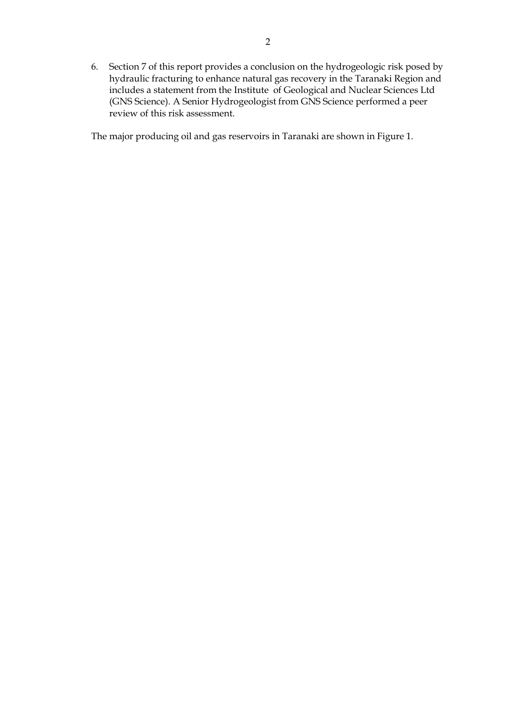6. Section 7 of this report provides a conclusion on the hydrogeologic risk posed by hydraulic fracturing to enhance natural gas recovery in the Taranaki Region and includes a statement from the Institute of Geological and Nuclear Sciences Ltd (GNS Science). A Senior Hydrogeologist from GNS Science performed a peer review of this risk assessment.

The major producing oil and gas reservoirs in Taranaki are shown in Figure 1.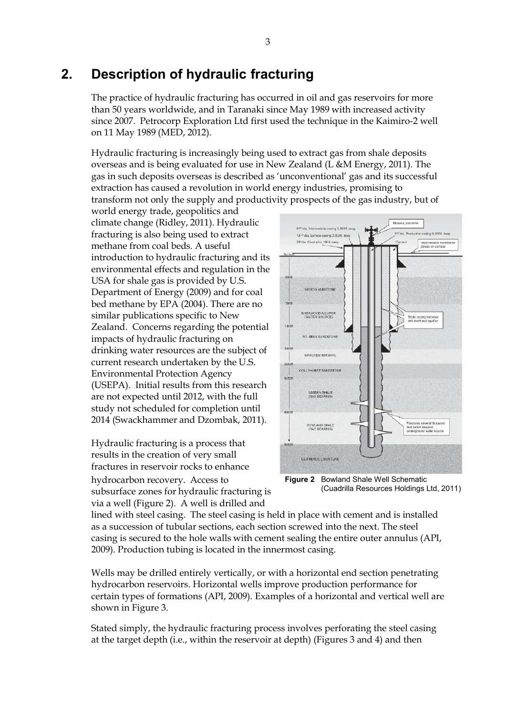# **2. Description of hydraulic fracturing**

The practice of hydraulic fracturing has occurred in oil and gas reservoirs for more than 50 years worldwide, and in Taranaki since May 1989 with increased activity since 2007. Petrocorp Exploration Ltd first used the technique in the Kaimiro-2 well on 11 May 1989 (MED, 2012).

Hydraulic fracturing is increasingly being used to extract gas from shale deposits overseas and is being evaluated for use in New Zealand (L &M Energy, 2011). The gas in such deposits overseas is described as 'unconventional' gas and its successful extraction has caused a revolution in world energy industries, promising to transform not only the supply and productivity prospects of the gas industry, but of

world energy trade, geopolitics and climate change (Ridley, 2011). Hydraulic fracturing is also being used to extract methane from coal beds. A useful introduction to hydraulic fracturing and its environmental effects and regulation in the USA for shale gas is provided by U.S. Department of Energy (2009) and for coal bed methane by EPA (2004). There are no similar publications specific to New Zealand. Concerns regarding the potential impacts of hydraulic fracturing on drinking water resources are the subject of current research undertaken by the U.S. Environmental Protection Agency (USEPA). Initial results from this research are not expected until 2012, with the full study not scheduled for completion until 2014 (Swackhammer and Dzombak, 2011).

Hydraulic fracturing is a process that results in the creation of very small fractures in reservoir rocks to enhance hydrocarbon recovery. Access to subsurface zones for hydraulic fracturing is via a well (Figure 2). A well is drilled and



**Figure 2** Bowland Shale Well Schematic (Cuadrilla Resources Holdings Ltd, 2011)

lined with steel casing. The steel casing is held in place with cement and is installed as a succession of tubular sections, each section screwed into the next. The steel casing is secured to the hole walls with cement sealing the entire outer annulus (API, 2009). Production tubing is located in the innermost casing.

Wells may be drilled entirely vertically, or with a horizontal end section penetrating hydrocarbon reservoirs. Horizontal wells improve production performance for certain types of formations (API, 2009). Examples of a horizontal and vertical well are shown in Figure 3.

Stated simply, the hydraulic fracturing process involves perforating the steel casing at the target depth (i.e., within the reservoir at depth) (Figures 3 and 4) and then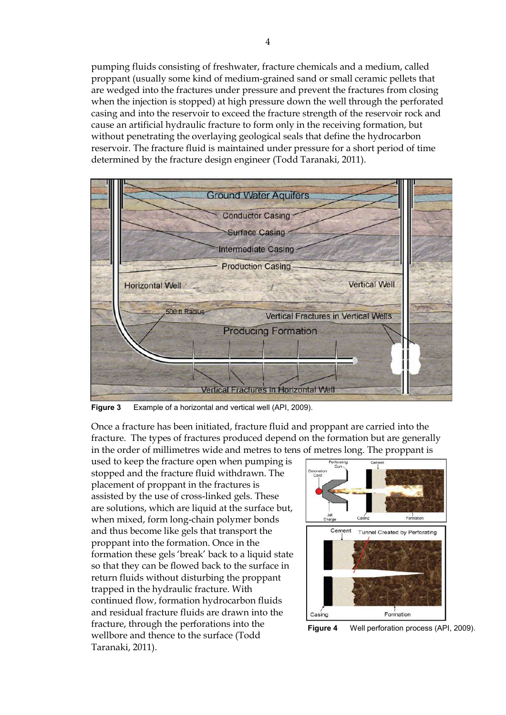pumping fluids consisting of freshwater, fracture chemicals and a medium, called proppant (usually some kind of medium-grained sand or small ceramic pellets that are wedged into the fractures under pressure and prevent the fractures from closing when the injection is stopped) at high pressure down the well through the perforated casing and into the reservoir to exceed the fracture strength of the reservoir rock and cause an artificial hydraulic fracture to form only in the receiving formation, but without penetrating the overlaying geological seals that define the hydrocarbon reservoir. The fracture fluid is maintained under pressure for a short period of time determined by the fracture design engineer (Todd Taranaki, 2011).



**Figure 3** Example of a horizontal and vertical well (API, 2009).

Once a fracture has been initiated, fracture fluid and proppant are carried into the fracture. The types of fractures produced depend on the formation but are generally in the order of millimetres wide and metres to tens of metres long. The proppant is

used to keep the fracture open when pumping is stopped and the fracture fluid withdrawn. The placement of proppant in the fractures is assisted by the use of cross-linked gels. These are solutions, which are liquid at the surface but, when mixed, form long-chain polymer bonds and thus become like gels that transport the proppant into the formation. Once in the formation these gels 'break' back to a liquid state so that they can be flowed back to the surface in return fluids without disturbing the proppant trapped in the hydraulic fracture. With continued flow, formation hydrocarbon fluids and residual fracture fluids are drawn into the fracture, through the perforations into the wellbore and thence to the surface (Todd Taranaki, 2011).



**Figure 4** Well perforation process (API, 2009).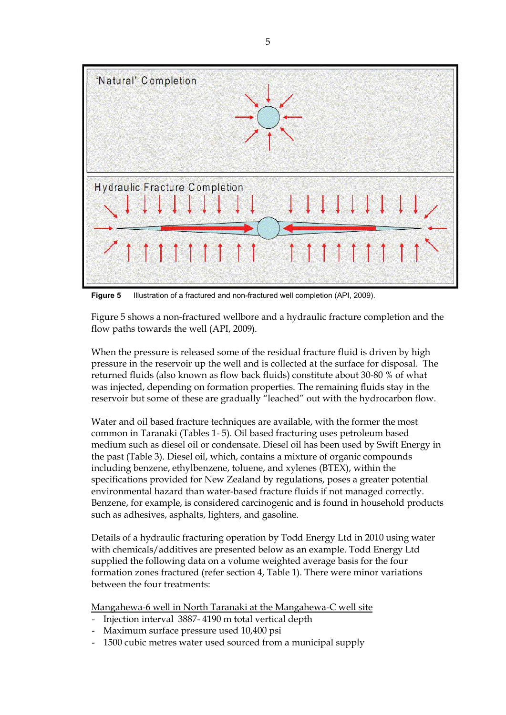

**Figure 5** Illustration of a fractured and non-fractured well completion (API, 2009).

Figure 5 shows a non-fractured wellbore and a hydraulic fracture completion and the flow paths towards the well (API, 2009).

When the pressure is released some of the residual fracture fluid is driven by high pressure in the reservoir up the well and is collected at the surface for disposal. The returned fluids (also known as flow back fluids) constitute about 30-80 % of what was injected, depending on formation properties. The remaining fluids stay in the reservoir but some of these are gradually "leached" out with the hydrocarbon flow.

Water and oil based fracture techniques are available, with the former the most common in Taranaki (Tables 1- 5). Oil based fracturing uses petroleum based medium such as diesel oil or condensate. Diesel oil has been used by Swift Energy in the past (Table 3). Diesel oil, which, contains a mixture of organic compounds including benzene, ethylbenzene, toluene, and xylenes (BTEX), within the specifications provided for New Zealand by regulations, poses a greater potential environmental hazard than water-based fracture fluids if not managed correctly. Benzene, for example, is considered carcinogenic and is found in household products such as adhesives, asphalts, lighters, and gasoline.

Details of a hydraulic fracturing operation by Todd Energy Ltd in 2010 using water with chemicals/additives are presented below as an example. Todd Energy Ltd supplied the following data on a volume weighted average basis for the four formation zones fractured (refer section 4, Table 1). There were minor variations between the four treatments:

Mangahewa-6 well in North Taranaki at the Mangahewa-C well site

- Injection interval 3887- 4190 m total vertical depth
- Maximum surface pressure used 10,400 psi
- 1500 cubic metres water used sourced from a municipal supply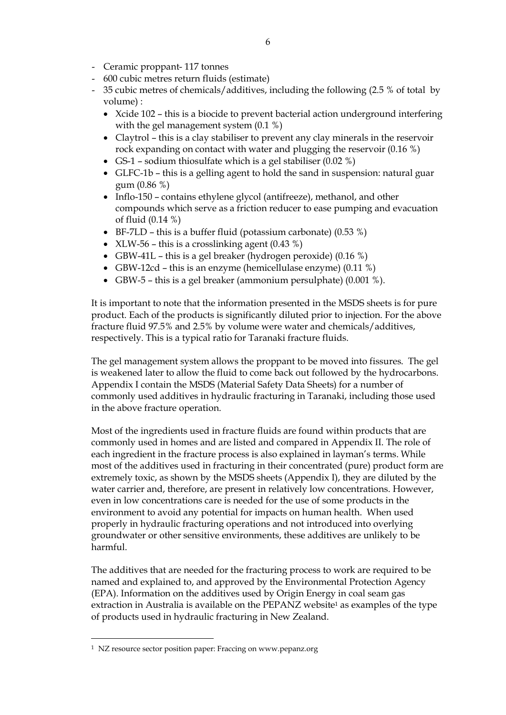- Ceramic proppant- 117 tonnes
- 600 cubic metres return fluids (estimate)
- 35 cubic metres of chemicals/additives, including the following (2.5 % of total by volume) :
	- Xcide 102 this is a biocide to prevent bacterial action underground interfering with the gel management system (0.1 %)
	- Claytrol this is a clay stabiliser to prevent any clay minerals in the reservoir rock expanding on contact with water and plugging the reservoir (0.16 %)
	- GS-1 sodium thiosulfate which is a gel stabiliser  $(0.02 \%)$
	- GLFC-1b this is a gelling agent to hold the sand in suspension: natural guar gum (0.86 %)
	- Inflo-150 contains ethylene glycol (antifreeze), methanol, and other compounds which serve as a friction reducer to ease pumping and evacuation of fluid (0.14 %)
	- $\bullet$  BF-7LD this is a buffer fluid (potassium carbonate) (0.53 %)
	- XLW-56 this is a crosslinking agent  $(0.43\%)$
	- GBW-41L this is a gel breaker (hydrogen peroxide)  $(0.16\%)$
	- GBW-12cd this is an enzyme (hemicellulase enzyme) (0.11 %)
	- GBW-5 this is a gel breaker (ammonium persulphate) (0.001 %).

It is important to note that the information presented in the MSDS sheets is for pure product. Each of the products is significantly diluted prior to injection. For the above fracture fluid 97.5% and 2.5% by volume were water and chemicals/additives, respectively. This is a typical ratio for Taranaki fracture fluids.

The gel management system allows the proppant to be moved into fissures. The gel is weakened later to allow the fluid to come back out followed by the hydrocarbons. Appendix I contain the MSDS (Material Safety Data Sheets) for a number of commonly used additives in hydraulic fracturing in Taranaki, including those used in the above fracture operation.

Most of the ingredients used in fracture fluids are found within products that are commonly used in homes and are listed and compared in Appendix II. The role of each ingredient in the fracture process is also explained in layman's terms. While most of the additives used in fracturing in their concentrated (pure) product form are extremely toxic, as shown by the MSDS sheets (Appendix I), they are diluted by the water carrier and, therefore, are present in relatively low concentrations. However, even in low concentrations care is needed for the use of some products in the environment to avoid any potential for impacts on human health. When used properly in hydraulic fracturing operations and not introduced into overlying groundwater or other sensitive environments, these additives are unlikely to be harmful.

The additives that are needed for the fracturing process to work are required to be named and explained to, and approved by the Environmental Protection Agency (EPA). Information on the additives used by Origin Energy in coal seam gas extraction in Australia is available on the PEPANZ website<sup>1</sup> as examples of the type of products used in hydraulic fracturing in New Zealand.

 $\ddot{\phantom{a}}$ 

<sup>1</sup> NZ resource sector position paper: Fraccing on www.pepanz.org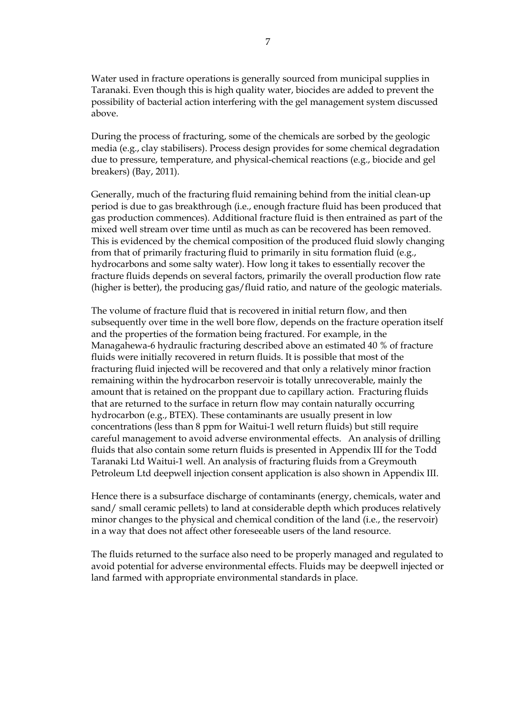Water used in fracture operations is generally sourced from municipal supplies in Taranaki. Even though this is high quality water, biocides are added to prevent the possibility of bacterial action interfering with the gel management system discussed above.

During the process of fracturing, some of the chemicals are sorbed by the geologic media (e.g., clay stabilisers). Process design provides for some chemical degradation due to pressure, temperature, and physical-chemical reactions (e.g., biocide and gel breakers) (Bay, 2011).

Generally, much of the fracturing fluid remaining behind from the initial clean-up period is due to gas breakthrough (i.e., enough fracture fluid has been produced that gas production commences). Additional fracture fluid is then entrained as part of the mixed well stream over time until as much as can be recovered has been removed. This is evidenced by the chemical composition of the produced fluid slowly changing from that of primarily fracturing fluid to primarily in situ formation fluid (e.g., hydrocarbons and some salty water). How long it takes to essentially recover the fracture fluids depends on several factors, primarily the overall production flow rate (higher is better), the producing gas/fluid ratio, and nature of the geologic materials.

The volume of fracture fluid that is recovered in initial return flow, and then subsequently over time in the well bore flow, depends on the fracture operation itself and the properties of the formation being fractured. For example, in the Managahewa-6 hydraulic fracturing described above an estimated 40 % of fracture fluids were initially recovered in return fluids. It is possible that most of the fracturing fluid injected will be recovered and that only a relatively minor fraction remaining within the hydrocarbon reservoir is totally unrecoverable, mainly the amount that is retained on the proppant due to capillary action. Fracturing fluids that are returned to the surface in return flow may contain naturally occurring hydrocarbon (e.g., BTEX). These contaminants are usually present in low concentrations (less than 8 ppm for Waitui-1 well return fluids) but still require careful management to avoid adverse environmental effects. An analysis of drilling fluids that also contain some return fluids is presented in Appendix III for the Todd Taranaki Ltd Waitui-1 well. An analysis of fracturing fluids from a Greymouth Petroleum Ltd deepwell injection consent application is also shown in Appendix III.

Hence there is a subsurface discharge of contaminants (energy, chemicals, water and sand/ small ceramic pellets) to land at considerable depth which produces relatively minor changes to the physical and chemical condition of the land (i.e., the reservoir) in a way that does not affect other foreseeable users of the land resource.

The fluids returned to the surface also need to be properly managed and regulated to avoid potential for adverse environmental effects. Fluids may be deepwell injected or land farmed with appropriate environmental standards in place.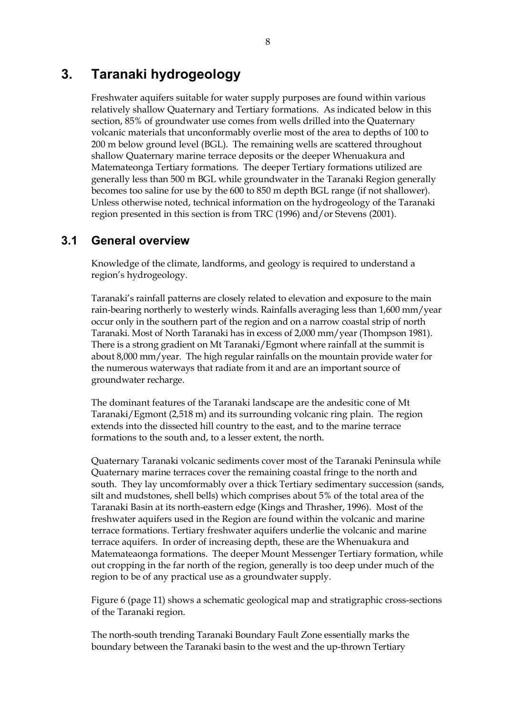## **3. Taranaki hydrogeology**

Freshwater aquifers suitable for water supply purposes are found within various relatively shallow Quaternary and Tertiary formations. As indicated below in this section, 85% of groundwater use comes from wells drilled into the Quaternary volcanic materials that unconformably overlie most of the area to depths of 100 to 200 m below ground level (BGL). The remaining wells are scattered throughout shallow Quaternary marine terrace deposits or the deeper Whenuakura and Matemateonga Tertiary formations. The deeper Tertiary formations utilized are generally less than 500 m BGL while groundwater in the Taranaki Region generally becomes too saline for use by the 600 to 850 m depth BGL range (if not shallower). Unless otherwise noted, technical information on the hydrogeology of the Taranaki region presented in this section is from TRC (1996) and/or Stevens (2001).

## **3.1 General overview**

Knowledge of the climate, landforms, and geology is required to understand a region's hydrogeology.

Taranaki's rainfall patterns are closely related to elevation and exposure to the main rain-bearing northerly to westerly winds. Rainfalls averaging less than 1,600 mm/year occur only in the southern part of the region and on a narrow coastal strip of north Taranaki. Most of North Taranaki has in excess of 2,000 mm/year (Thompson 1981). There is a strong gradient on Mt Taranaki/Egmont where rainfall at the summit is about 8,000 mm/year. The high regular rainfalls on the mountain provide water for the numerous waterways that radiate from it and are an important source of groundwater recharge.

The dominant features of the Taranaki landscape are the andesitic cone of Mt Taranaki/Egmont (2,518 m) and its surrounding volcanic ring plain. The region extends into the dissected hill country to the east, and to the marine terrace formations to the south and, to a lesser extent, the north.

Quaternary Taranaki volcanic sediments cover most of the Taranaki Peninsula while Quaternary marine terraces cover the remaining coastal fringe to the north and south. They lay uncomformably over a thick Tertiary sedimentary succession (sands, silt and mudstones, shell bells) which comprises about 5% of the total area of the Taranaki Basin at its north-eastern edge (Kings and Thrasher, 1996). Most of the freshwater aquifers used in the Region are found within the volcanic and marine terrace formations. Tertiary freshwater aquifers underlie the volcanic and marine terrace aquifers. In order of increasing depth, these are the Whenuakura and Matemateaonga formations. The deeper Mount Messenger Tertiary formation, while out cropping in the far north of the region, generally is too deep under much of the region to be of any practical use as a groundwater supply.

Figure 6 (page 11) shows a schematic geological map and stratigraphic cross-sections of the Taranaki region.

The north-south trending Taranaki Boundary Fault Zone essentially marks the boundary between the Taranaki basin to the west and the up-thrown Tertiary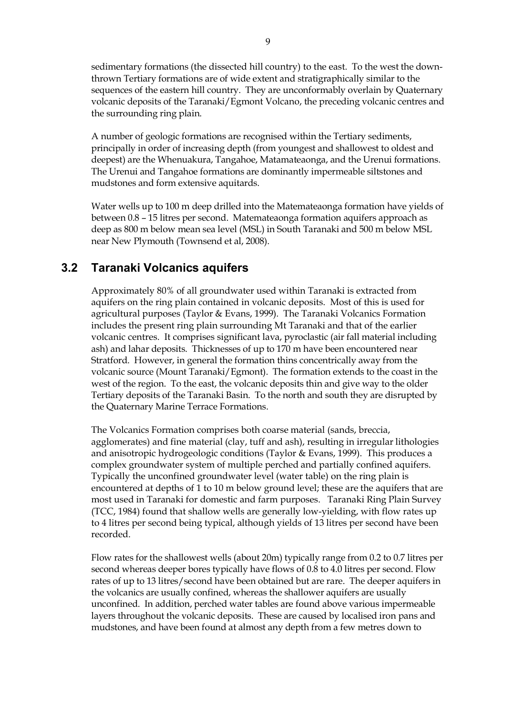sedimentary formations (the dissected hill country) to the east. To the west the downthrown Tertiary formations are of wide extent and stratigraphically similar to the sequences of the eastern hill country. They are unconformably overlain by Quaternary volcanic deposits of the Taranaki/Egmont Volcano, the preceding volcanic centres and the surrounding ring plain.

A number of geologic formations are recognised within the Tertiary sediments, principally in order of increasing depth (from youngest and shallowest to oldest and deepest) are the Whenuakura, Tangahoe, Matamateaonga, and the Urenui formations. The Urenui and Tangahoe formations are dominantly impermeable siltstones and mudstones and form extensive aquitards.

Water wells up to 100 m deep drilled into the Matemateaonga formation have yields of between 0.8 – 15 litres per second. Matemateaonga formation aquifers approach as deep as 800 m below mean sea level (MSL) in South Taranaki and 500 m below MSL near New Plymouth (Townsend et al, 2008).

## **3.2 Taranaki Volcanics aquifers**

Approximately 80% of all groundwater used within Taranaki is extracted from aquifers on the ring plain contained in volcanic deposits. Most of this is used for agricultural purposes (Taylor & Evans, 1999). The Taranaki Volcanics Formation includes the present ring plain surrounding Mt Taranaki and that of the earlier volcanic centres. It comprises significant lava, pyroclastic (air fall material including ash) and lahar deposits. Thicknesses of up to 170 m have been encountered near Stratford. However, in general the formation thins concentrically away from the volcanic source (Mount Taranaki/Egmont). The formation extends to the coast in the west of the region. To the east, the volcanic deposits thin and give way to the older Tertiary deposits of the Taranaki Basin. To the north and south they are disrupted by the Quaternary Marine Terrace Formations.

The Volcanics Formation comprises both coarse material (sands, breccia, agglomerates) and fine material (clay, tuff and ash), resulting in irregular lithologies and anisotropic hydrogeologic conditions (Taylor & Evans, 1999). This produces a complex groundwater system of multiple perched and partially confined aquifers. Typically the unconfined groundwater level (water table) on the ring plain is encountered at depths of 1 to 10 m below ground level; these are the aquifers that are most used in Taranaki for domestic and farm purposes. Taranaki Ring Plain Survey (TCC, 1984) found that shallow wells are generally low-yielding, with flow rates up to 4 litres per second being typical, although yields of 13 litres per second have been recorded.

Flow rates for the shallowest wells (about 20m) typically range from 0.2 to 0.7 litres per second whereas deeper bores typically have flows of 0.8 to 4.0 litres per second. Flow rates of up to 13 litres/second have been obtained but are rare. The deeper aquifers in the volcanics are usually confined, whereas the shallower aquifers are usually unconfined. In addition, perched water tables are found above various impermeable layers throughout the volcanic deposits. These are caused by localised iron pans and mudstones, and have been found at almost any depth from a few metres down to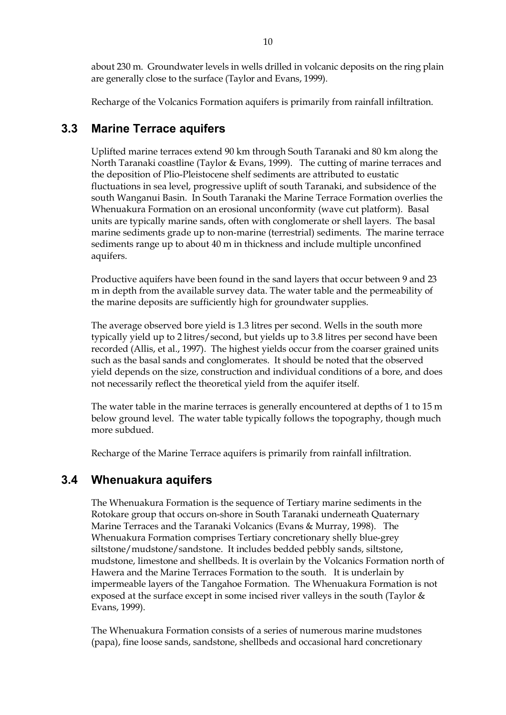about 230 m. Groundwater levels in wells drilled in volcanic deposits on the ring plain are generally close to the surface (Taylor and Evans, 1999).

Recharge of the Volcanics Formation aquifers is primarily from rainfall infiltration.

### **3.3 Marine Terrace aquifers**

Uplifted marine terraces extend 90 km through South Taranaki and 80 km along the North Taranaki coastline (Taylor & Evans, 1999). The cutting of marine terraces and the deposition of Plio-Pleistocene shelf sediments are attributed to eustatic fluctuations in sea level, progressive uplift of south Taranaki, and subsidence of the south Wanganui Basin. In South Taranaki the Marine Terrace Formation overlies the Whenuakura Formation on an erosional unconformity (wave cut platform). Basal units are typically marine sands, often with conglomerate or shell layers. The basal marine sediments grade up to non-marine (terrestrial) sediments. The marine terrace sediments range up to about 40 m in thickness and include multiple unconfined aquifers.

Productive aquifers have been found in the sand layers that occur between 9 and 23 m in depth from the available survey data. The water table and the permeability of the marine deposits are sufficiently high for groundwater supplies.

The average observed bore yield is 1.3 litres per second. Wells in the south more typically yield up to 2 litres/second, but yields up to 3.8 litres per second have been recorded (Allis, et al., 1997). The highest yields occur from the coarser grained units such as the basal sands and conglomerates. It should be noted that the observed yield depends on the size, construction and individual conditions of a bore, and does not necessarily reflect the theoretical yield from the aquifer itself.

The water table in the marine terraces is generally encountered at depths of 1 to 15 m below ground level. The water table typically follows the topography, though much more subdued.

Recharge of the Marine Terrace aquifers is primarily from rainfall infiltration.

## **3.4 Whenuakura aquifers**

The Whenuakura Formation is the sequence of Tertiary marine sediments in the Rotokare group that occurs on-shore in South Taranaki underneath Quaternary Marine Terraces and the Taranaki Volcanics (Evans & Murray, 1998). The Whenuakura Formation comprises Tertiary concretionary shelly blue-grey siltstone/mudstone/sandstone. It includes bedded pebbly sands, siltstone, mudstone, limestone and shellbeds. It is overlain by the Volcanics Formation north of Hawera and the Marine Terraces Formation to the south. It is underlain by impermeable layers of the Tangahoe Formation. The Whenuakura Formation is not exposed at the surface except in some incised river valleys in the south (Taylor & Evans, 1999).

The Whenuakura Formation consists of a series of numerous marine mudstones (papa), fine loose sands, sandstone, shellbeds and occasional hard concretionary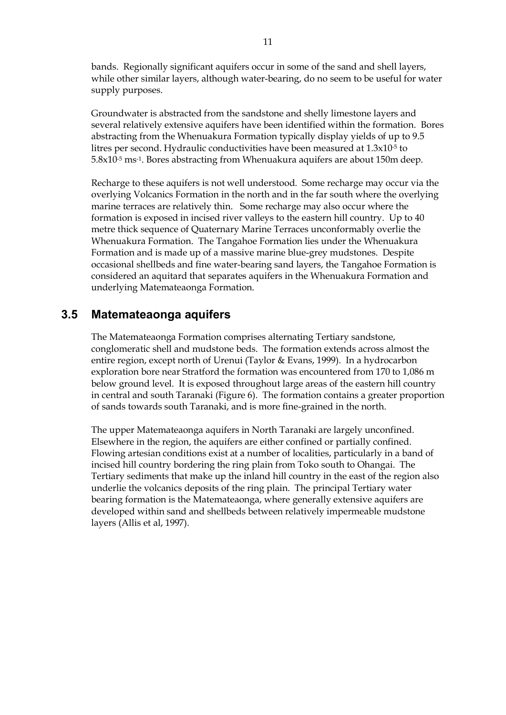bands. Regionally significant aquifers occur in some of the sand and shell layers, while other similar layers, although water-bearing, do no seem to be useful for water supply purposes.

Groundwater is abstracted from the sandstone and shelly limestone layers and several relatively extensive aquifers have been identified within the formation. Bores abstracting from the Whenuakura Formation typically display yields of up to 9.5 litres per second. Hydraulic conductivities have been measured at 1.3x10<sup>-5</sup> to 5.8x10-5 ms-1. Bores abstracting from Whenuakura aquifers are about 150m deep.

Recharge to these aquifers is not well understood. Some recharge may occur via the overlying Volcanics Formation in the north and in the far south where the overlying marine terraces are relatively thin. Some recharge may also occur where the formation is exposed in incised river valleys to the eastern hill country. Up to 40 metre thick sequence of Quaternary Marine Terraces unconformably overlie the Whenuakura Formation. The Tangahoe Formation lies under the Whenuakura Formation and is made up of a massive marine blue-grey mudstones. Despite occasional shellbeds and fine water-bearing sand layers, the Tangahoe Formation is considered an aquitard that separates aquifers in the Whenuakura Formation and underlying Matemateaonga Formation.

### **3.5 Matemateaonga aquifers**

The Matemateaonga Formation comprises alternating Tertiary sandstone, conglomeratic shell and mudstone beds. The formation extends across almost the entire region, except north of Urenui (Taylor & Evans, 1999). In a hydrocarbon exploration bore near Stratford the formation was encountered from 170 to 1,086 m below ground level. It is exposed throughout large areas of the eastern hill country in central and south Taranaki (Figure 6). The formation contains a greater proportion of sands towards south Taranaki, and is more fine-grained in the north.

The upper Matemateaonga aquifers in North Taranaki are largely unconfined. Elsewhere in the region, the aquifers are either confined or partially confined. Flowing artesian conditions exist at a number of localities, particularly in a band of incised hill country bordering the ring plain from Toko south to Ohangai. The Tertiary sediments that make up the inland hill country in the east of the region also underlie the volcanics deposits of the ring plain. The principal Tertiary water bearing formation is the Matemateaonga, where generally extensive aquifers are developed within sand and shellbeds between relatively impermeable mudstone layers (Allis et al, 1997).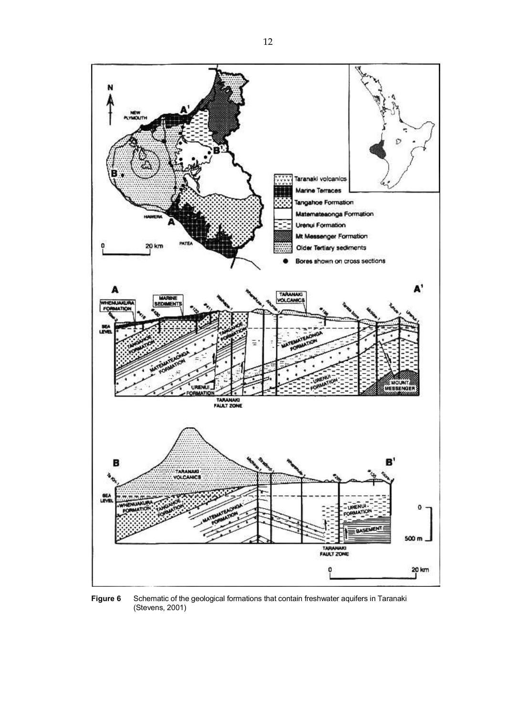

**Figure 6** Schematic of the geological formations that contain freshwater aquifers in Taranaki (Stevens, 2001)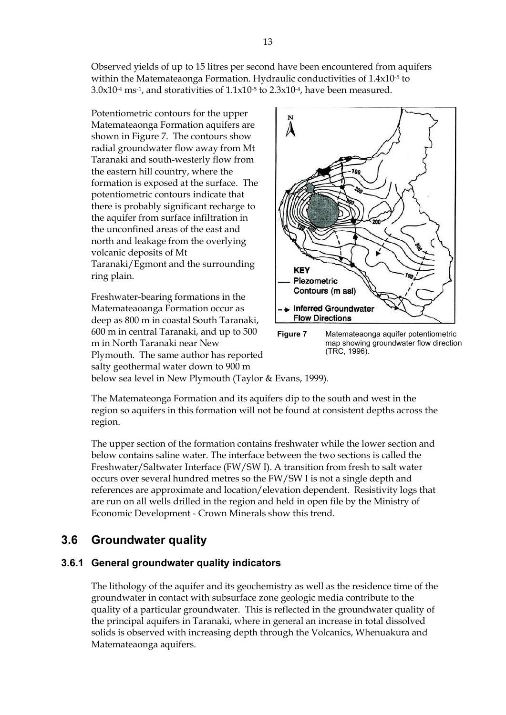Observed yields of up to 15 litres per second have been encountered from aquifers within the Matemateaonga Formation. Hydraulic conductivities of 1.4x10-5 to  $3.0x10^{-4}$  ms<sup>-1</sup>, and storativities of  $1.1x10^{-5}$  to  $2.3x10^{-4}$ , have been measured.

Potentiometric contours for the upper Matemateaonga Formation aquifers are shown in Figure 7. The contours show radial groundwater flow away from Mt Taranaki and south-westerly flow from the eastern hill country, where the formation is exposed at the surface. The potentiometric contours indicate that there is probably significant recharge to the aquifer from surface infiltration in the unconfined areas of the east and north and leakage from the overlying volcanic deposits of Mt Taranaki/Egmont and the surrounding ring plain.

Freshwater-bearing formations in the Matemateaoanga Formation occur as deep as 800 m in coastal South Taranaki, 600 m in central Taranaki, and up to 500 m in North Taranaki near New Plymouth. The same author has reported salty geothermal water down to 900 m





below sea level in New Plymouth (Taylor & Evans, 1999).

The Matemateonga Formation and its aquifers dip to the south and west in the region so aquifers in this formation will not be found at consistent depths across the region.

The upper section of the formation contains freshwater while the lower section and below contains saline water. The interface between the two sections is called the Freshwater/Saltwater Interface (FW/SW I). A transition from fresh to salt water occurs over several hundred metres so the FW/SW I is not a single depth and references are approximate and location/elevation dependent. Resistivity logs that are run on all wells drilled in the region and held in open file by the Ministry of Economic Development - Crown Minerals show this trend.

## **3.6 Groundwater quality**

### **3.6.1 General groundwater quality indicators**

The lithology of the aquifer and its geochemistry as well as the residence time of the groundwater in contact with subsurface zone geologic media contribute to the quality of a particular groundwater. This is reflected in the groundwater quality of the principal aquifers in Taranaki, where in general an increase in total dissolved solids is observed with increasing depth through the Volcanics, Whenuakura and Matemateaonga aquifers.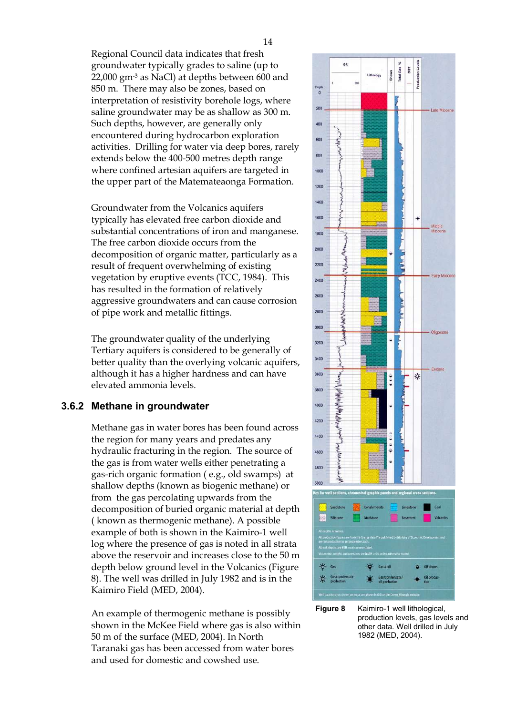Regional Council data indicates that fresh groundwater typically grades to saline (up to 22,000 gm-3 as NaCl) at depths between 600 and 850 m. There may also be zones, based on interpretation of resistivity borehole logs, where saline groundwater may be as shallow as 300 m. Such depths, however, are generally only encountered during hydrocarbon exploration activities. Drilling for water via deep bores, rarely extends below the 400-500 metres depth range where confined artesian aquifers are targeted in the upper part of the Matemateaonga Formation.

Groundwater from the Volcanics aquifers typically has elevated free carbon dioxide and substantial concentrations of iron and manganese. The free carbon dioxide occurs from the decomposition of organic matter, particularly as a result of frequent overwhelming of existing vegetation by eruptive events (TCC, 1984). This has resulted in the formation of relatively aggressive groundwaters and can cause corrosion of pipe work and metallic fittings.

The groundwater quality of the underlying Tertiary aquifers is considered to be generally of better quality than the overlying volcanic aquifers, although it has a higher hardness and can have elevated ammonia levels.

### **3.6.2 Methane in groundwater**

Methane gas in water bores has been found across the region for many years and predates any hydraulic fracturing in the region. The source of the gas is from water wells either penetrating a gas-rich organic formation ( e.g., old swamps) at shallow depths (known as biogenic methane) or from the gas percolating upwards from the decomposition of buried organic material at depth ( known as thermogenic methane). A possible example of both is shown in the Kaimiro-1 well log where the presence of gas is noted in all strata above the reservoir and increases close to the 50 m depth below ground level in the Volcanics (Figure 8). The well was drilled in July 1982 and is in the Kaimiro Field (MED, 2004).

An example of thermogenic methane is possibly shown in the McKee Field where gas is also within 50 m of the surface (MED, 2004). In North Taranaki gas has been accessed from water bores and used for domestic and cowshed use.



**Figure 8** Kaimiro-1 well lithological, production levels, gas levels and other data. Well drilled in July 1982 (MED, 2004).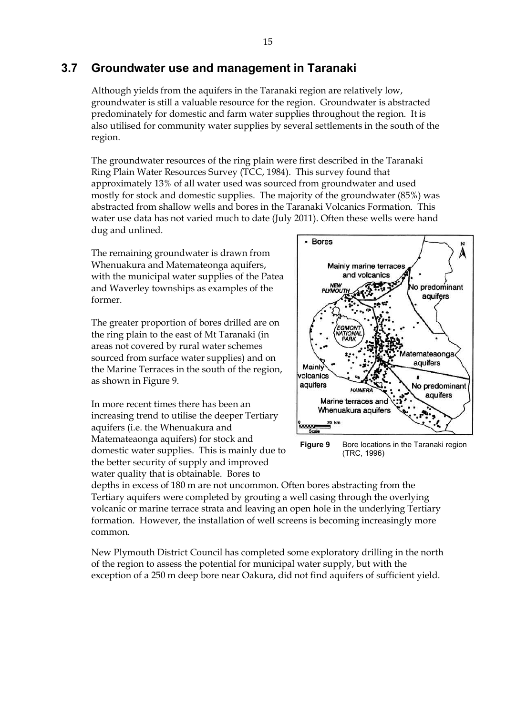### **3.7 Groundwater use and management in Taranaki**

Although yields from the aquifers in the Taranaki region are relatively low, groundwater is still a valuable resource for the region. Groundwater is abstracted predominately for domestic and farm water supplies throughout the region. It is also utilised for community water supplies by several settlements in the south of the region.

The groundwater resources of the ring plain were first described in the Taranaki Ring Plain Water Resources Survey (TCC, 1984). This survey found that approximately 13% of all water used was sourced from groundwater and used mostly for stock and domestic supplies. The majority of the groundwater (85%) was abstracted from shallow wells and bores in the Taranaki Volcanics Formation. This water use data has not varied much to date (July 2011). Often these wells were hand dug and unlined.

The remaining groundwater is drawn from Whenuakura and Matemateonga aquifers, with the municipal water supplies of the Patea and Waverley townships as examples of the former.

The greater proportion of bores drilled are on the ring plain to the east of Mt Taranaki (in areas not covered by rural water schemes sourced from surface water supplies) and on the Marine Terraces in the south of the region, as shown in Figure 9.

In more recent times there has been an increasing trend to utilise the deeper Tertiary aquifers (i.e. the Whenuakura and Matemateaonga aquifers) for stock and domestic water supplies. This is mainly due to the better security of supply and improved water quality that is obtainable. Bores to



**Figure 9** Bore locations in the Taranaki region (TRC, 1996)

depths in excess of 180 m are not uncommon. Often bores abstracting from the Tertiary aquifers were completed by grouting a well casing through the overlying volcanic or marine terrace strata and leaving an open hole in the underlying Tertiary formation. However, the installation of well screens is becoming increasingly more common.

New Plymouth District Council has completed some exploratory drilling in the north of the region to assess the potential for municipal water supply, but with the exception of a 250 m deep bore near Oakura, did not find aquifers of sufficient yield.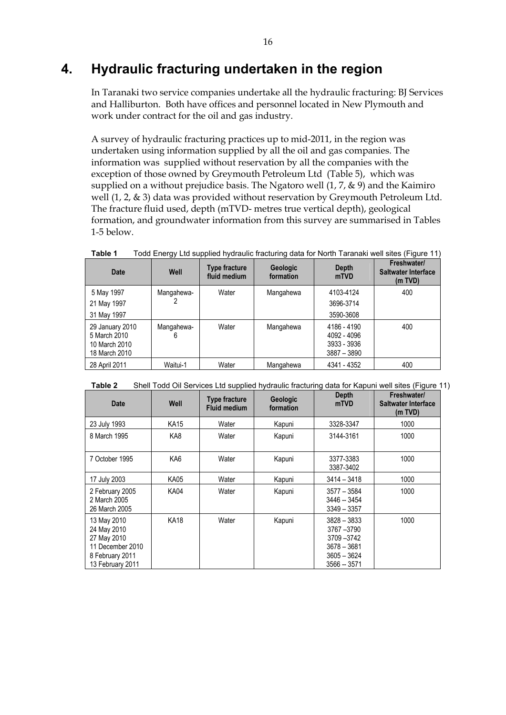# **4. Hydraulic fracturing undertaken in the region**

In Taranaki two service companies undertake all the hydraulic fracturing: BJ Services and Halliburton. Both have offices and personnel located in New Plymouth and work under contract for the oil and gas industry.

A survey of hydraulic fracturing practices up to mid-2011, in the region was undertaken using information supplied by all the oil and gas companies. The information was supplied without reservation by all the companies with the exception of those owned by Greymouth Petroleum Ltd (Table 5), which was supplied on a without prejudice basis. The Ngatoro well  $(1, 7, \& 9)$  and the Kaimiro well  $(1, 2, \& 3)$  data was provided without reservation by Greymouth Petroleum Ltd. The fracture fluid used, depth (mTVD- metres true vertical depth), geological formation, and groundwater information from this survey are summarised in Tables 1-5 below.

| Todd Energy Ltd supplied hydraulic fracturing data for North Taranaki well sites (Figure 11)<br>Table 1 |                 |                                      |                              |                                                          |                                                      |  |  |
|---------------------------------------------------------------------------------------------------------|-----------------|--------------------------------------|------------------------------|----------------------------------------------------------|------------------------------------------------------|--|--|
| <b>Date</b>                                                                                             | Well            | <b>Type fracture</b><br>fluid medium | <b>Geologic</b><br>formation | <b>Depth</b><br>mTVD                                     | Freshwater/<br><b>Saltwater Interface</b><br>(m TVD) |  |  |
| 5 May 1997                                                                                              | Mangahewa-      | Water                                | Mangahewa                    | 4103-4124                                                | 400                                                  |  |  |
| 21 May 1997                                                                                             |                 |                                      |                              | 3696-3714                                                |                                                      |  |  |
| 31 May 1997                                                                                             |                 |                                      |                              | 3590-3608                                                |                                                      |  |  |
| 29 January 2010<br>5 March 2010<br>10 March 2010<br>18 March 2010                                       | Mangahewa-<br>6 | Water                                | Mangahewa                    | 4186 - 4190<br>4092 - 4096<br>3933 - 3936<br>3887 - 3890 | 400                                                  |  |  |
| 28 April 2011                                                                                           | Waitui-1        | Water                                | Mangahewa                    | 4341 - 4352                                              | 400                                                  |  |  |

| Table 2 |  | Shell Todd Oil Services Ltd supplied hydraulic fracturing data for Kapuni well sites (Figure 11) |
|---------|--|--------------------------------------------------------------------------------------------------|

| <b>Date</b>                                                                                          | Well        | <b>Type fracture</b><br><b>Fluid medium</b> | <b>Geologic</b><br>formation | Depth<br>mTVD                                                                             | Freshwater/<br>Saltwater Interface<br>(m TVD) |
|------------------------------------------------------------------------------------------------------|-------------|---------------------------------------------|------------------------------|-------------------------------------------------------------------------------------------|-----------------------------------------------|
| 23 July 1993                                                                                         | KA15        | Water                                       | Kapuni                       | 3328-3347                                                                                 | 1000                                          |
| 8 March 1995                                                                                         | KA8         | Water                                       | Kapuni                       | 3144-3161                                                                                 | 1000                                          |
| 7 October 1995                                                                                       | KA6         | Water                                       | Kapuni                       | 3377-3383<br>3387-3402                                                                    | 1000                                          |
| 17 July 2003                                                                                         | KA05        | Water                                       | Kapuni                       | $3414 - 3418$                                                                             | 1000                                          |
| 2 February 2005<br>2 March 2005<br>26 March 2005                                                     | <b>KA04</b> | Water                                       | Kapuni                       | $3577 - 3584$<br>3446 -- 3454<br>$3349 - 3357$                                            | 1000                                          |
| 13 May 2010<br>24 May 2010<br>27 May 2010<br>11 December 2010<br>8 February 2011<br>13 February 2011 | <b>KA18</b> | Water                                       | Kapuni                       | 3828 - 3833<br>3767-3790<br>3709 - 3742<br>$3678 - 3681$<br>$3605 - 3624$<br>3566 -- 3571 | 1000                                          |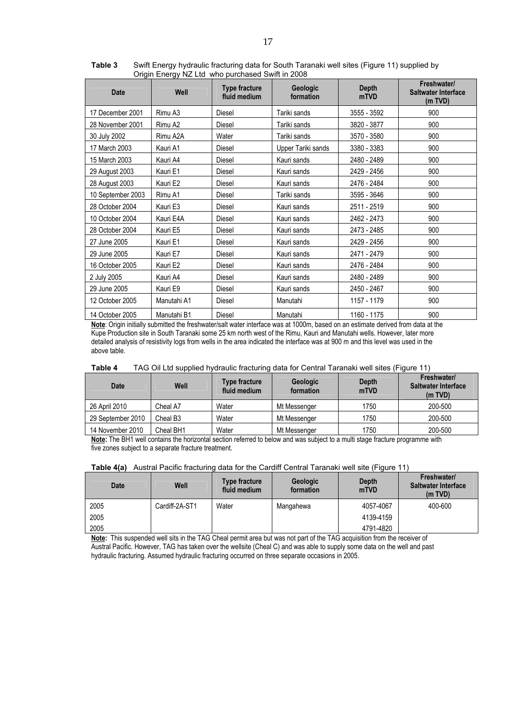| <b>Date</b>       | Well        | <b>Type fracture</b><br>fluid medium | Geologic<br>formation | <b>Depth</b><br>mTVD | Freshwater/<br>Saltwater Interface<br>(m TVD) |
|-------------------|-------------|--------------------------------------|-----------------------|----------------------|-----------------------------------------------|
| 17 December 2001  | Rimu A3     | Diesel                               | Tariki sands          | 3555 - 3592          | 900                                           |
| 28 November 2001  | Rimu A2     | Diesel                               | Tariki sands          | 3820 - 3877          | 900                                           |
| 30 July 2002      | Rimu A2A    | Water                                | Tariki sands          | 3570 - 3580          | 900                                           |
| 17 March 2003     | Kauri A1    | <b>Diesel</b>                        | Upper Tariki sands    | 3380 - 3383          | 900                                           |
| 15 March 2003     | Kauri A4    | Diesel                               | Kauri sands           | 2480 - 2489          | 900                                           |
| 29 August 2003    | Kauri E1    | <b>Diesel</b>                        | Kauri sands           | 2429 - 2456          | 900                                           |
| 28 August 2003    | Kauri E2    | Diesel                               | Kauri sands           | 2476 - 2484          | 900                                           |
| 10 September 2003 | Rimu A1     | Diesel                               | Tariki sands          | 3595 - 3646          | 900                                           |
| 28 October 2004   | Kauri E3    | Diesel                               | Kauri sands           | 2511 - 2519          | 900                                           |
| 10 October 2004   | Kauri E4A   | Diesel                               | Kauri sands           | 2462 - 2473          | 900                                           |
| 28 October 2004   | Kauri E5    | Diesel                               | Kauri sands           | 2473 - 2485          | 900                                           |
| 27 June 2005      | Kauri E1    | Diesel                               | Kauri sands           | 2429 - 2456          | 900                                           |
| 29 June 2005      | Kauri E7    | Diesel                               | Kauri sands           | 2471 - 2479          | 900                                           |
| 16 October 2005   | Kauri E2    | Diesel                               | Kauri sands           | 2476 - 2484          | 900                                           |
| 2 July 2005       | Kauri A4    | <b>Diesel</b>                        | Kauri sands           | 2480 - 2489          | 900                                           |
| 29 June 2005      | Kauri E9    | <b>Diesel</b>                        | Kauri sands           | 2450 - 2467          | 900                                           |
| 12 October 2005   | Manutahi A1 | Diesel                               | Manutahi              | 1157 - 1179          | 900                                           |
| 14 October 2005   | Manutahi B1 | Diesel                               | Manutahi              | 1160 - 1175          | 900                                           |

**Table 3** Swift Energy hydraulic fracturing data for South Taranaki well sites (Figure 11) supplied by Origin Energy NZ Ltd who purchased Swift in 2008

**Note**: Origin initially submitted the freshwater/salt water interface was at 1000m, based on an estimate derived from data at the Kupe Production site in South Taranaki some 25 km north west of the Rimu, Kauri and Manutahi wells. However, later more detailed analysis of resistivity logs from wells in the area indicated the interface was at 900 m and this level was used in the above table.

| <b>Date</b>       | Well                 | <b>Type fracture</b><br>fluid medium | <b>Geologic</b><br>formation | Depth<br>mTVD | <b>Freshwater/</b><br>Saltwater Interface<br>(m TVD) |
|-------------------|----------------------|--------------------------------------|------------------------------|---------------|------------------------------------------------------|
| 26 April 2010     | Cheal A7             | Water                                | Mt Messenger                 | 1750          | 200-500                                              |
| 29 September 2010 | Cheal B <sub>3</sub> | Water                                | Mt Messenger                 | 1750          | 200-500                                              |
| 14 November 2010  | Cheal BH1            | Water                                | Mt Messenger                 | 1750          | 200-500                                              |

**Note:** The BH1 well contains the horizontal section referred to below and was subject to a multi stage fracture programme with five zones subject to a separate fracture treatment.

#### **Table 4(a)** Austral Pacific fracturing data for the Cardiff Central Taranaki well site (Figure 11)

| <b>Date</b> | Well           | <b>Type fracture</b><br>fluid medium | <b>Geologic</b><br>formation | Depth<br>mTVD | Freshwater/<br><b>Saltwater Interface</b><br>(m TVD) |
|-------------|----------------|--------------------------------------|------------------------------|---------------|------------------------------------------------------|
| 2005        | Cardiff-2A-ST1 | Water                                | Mangahewa                    | 4057-4067     | 400-600                                              |
| 2005        |                |                                      |                              | 4139-4159     |                                                      |
| 2005        |                |                                      |                              | 4791-4820     |                                                      |

**Note:** This suspended well sits in the TAG Cheal permit area but was not part of the TAG acquisition from the receiver of Austral Pacific. However, TAG has taken over the wellsite (Cheal C) and was able to supply some data on the well and past hydraulic fracturing. Assumed hydraulic fracturing occurred on three separate occasions in 2005.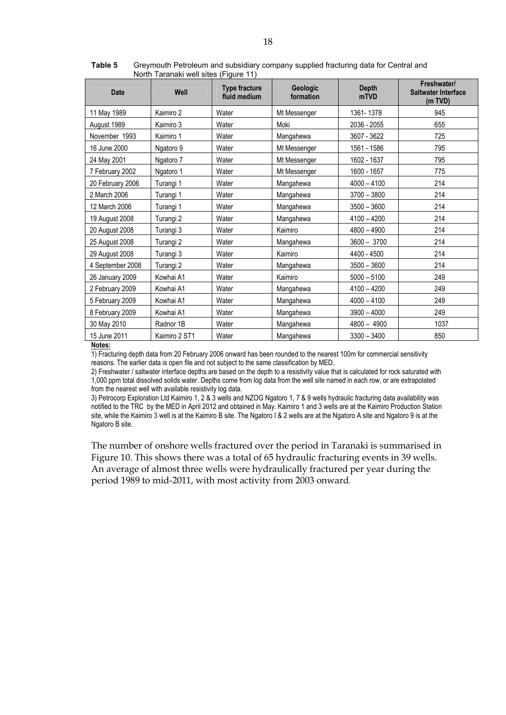| <b>Date</b>      | Well          | <b>Type fracture</b><br>fluid medium | Geologic<br>formation | <b>Depth</b><br>mTVD | Freshwater/<br><b>Saltwater Interface</b><br>(m TVD) |
|------------------|---------------|--------------------------------------|-----------------------|----------------------|------------------------------------------------------|
| 11 May 1989      | Kaimiro 2     | Water                                | Mt Messenger          | 1361-1378            | 945                                                  |
| August 1989      | Kaimiro 3     | Water                                | Moki                  | 2036 - 2055          | 655                                                  |
| November 1993    | Kaimiro 1     | Water                                | Mangahewa             | 3607 - 3622          | 725                                                  |
| 16 June 2000     | Ngatoro 9     | Water                                | Mt Messenger          | 1561 - 1586          | 795                                                  |
| 24 May 2001      | Ngatoro 7     | Water                                | Mt Messenger          | 1602 - 1637          | 795                                                  |
| 7 February 2002  | Ngatoro 1     | Water                                | Mt Messenger          | 1600 - 1657          | 775                                                  |
| 20 February 2006 | Turangi 1     | Water                                | Mangahewa             | $4000 - 4100$        | 214                                                  |
| 2 March 2006     | Turangi 1     | Water                                | Mangahewa             | $3700 - 3800$        | 214                                                  |
| 12 March 2006    | Turangi 1     | Water                                | Mangahewa             | $3500 - 3600$        | 214                                                  |
| 19 August 2008   | Turangi 2     | Water                                | Mangahewa             | $4100 - 4200$        | 214                                                  |
| 20 August 2008   | Turangi 3     | Water                                | Kaimiro               | $4800 - 4900$        | 214                                                  |
| 25 August 2008   | Turangi 2     | Water                                | Mangahewa             | $3600 - 3700$        | 214                                                  |
| 29 August 2008   | Turangi 3     | Water                                | Kaimiro               | 4400 - 4500          | 214                                                  |
| 4 September 2008 | Turangi 2     | Water                                | Mangahewa             | $3500 - 3600$        | 214                                                  |
| 26 January 2009  | Kowhai A1     | Water                                | Kaimiro               | $5000 - 5100$        | 249                                                  |
| 2 February 2009  | Kowhai A1     | Water                                | Mangahewa             | $4100 - 4200$        | 249                                                  |
| 5 February 2009  | Kowhai A1     | Water                                | Mangahewa             | $4000 - 4100$        | 249                                                  |
| 8 February 2009  | Kowhai A1     | Water                                | Mangahewa             | $3900 - 4000$        | 249                                                  |
| 30 May 2010      | Radnor 1B     | Water                                | Mangahewa             | $4800 - 4900$        | 1037                                                 |
| 15 June 2011     | Kaimiro 2 ST1 | Water                                | Mangahewa             | $3300 - 3400$        | 850                                                  |

**Table 5** Greymouth Petroleum and subsidiary company supplied fracturing data for Central and North Taranaki well sites (Figure 11)

#### **Notes:**

1) Fracturing depth data from 20 February 2006 onward has been rounded to the nearest 100m for commercial sensitivity reasons. The earlier data is open file and not subject to the same classification by MED.

2) Freshwater / saltwater interface depths are based on the depth to a resistivity value that is calculated for rock saturated with 1,000 ppm total dissolved solids water. Depths come from log data from the well site named in each row, or are extrapolated from the nearest well with available resistivity log data.

3) Petrocorp Exploration Ltd Kaimiro 1, 2 & 3 wells and NZOG Ngatoro 1, 7 & 9 wells hydraulic fracturing data availability was notified to the TRC by the MED in April 2012 and obtained in May. Kaimiro 1 and 3 wells are at the Kaimiro Production Station site, while the Kaimiro 3 well is at the Kaimiro B site. The Ngatoro I & 2 wells are at the Ngatoro A site and Ngatoro 9 is at the Ngatoro B site.

The number of onshore wells fractured over the period in Taranaki is summarised in Figure 10. This shows there was a total of 65 hydraulic fracturing events in 39 wells. An average of almost three wells were hydraulically fractured per year during the period 1989 to mid-2011, with most activity from 2003 onward.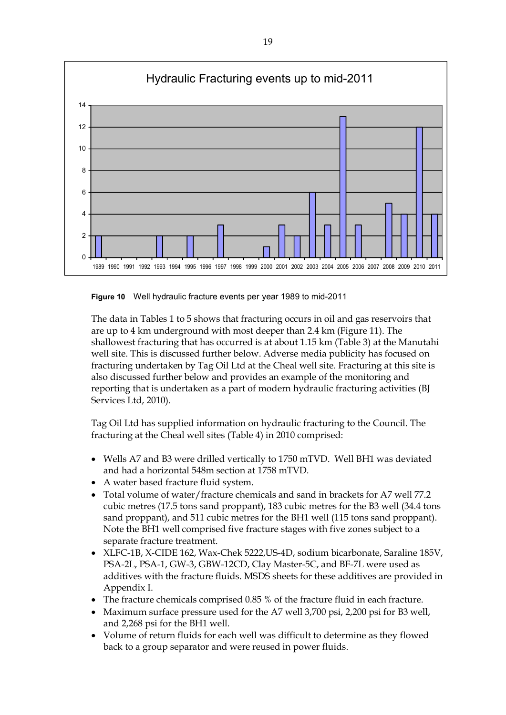

**Figure 10** Well hydraulic fracture events per year 1989 to mid-2011

The data in Tables 1 to 5 shows that fracturing occurs in oil and gas reservoirs that are up to 4 km underground with most deeper than 2.4 km (Figure 11). The shallowest fracturing that has occurred is at about 1.15 km (Table 3) at the Manutahi well site. This is discussed further below. Adverse media publicity has focused on fracturing undertaken by Tag Oil Ltd at the Cheal well site. Fracturing at this site is also discussed further below and provides an example of the monitoring and reporting that is undertaken as a part of modern hydraulic fracturing activities (BJ Services Ltd, 2010).

Tag Oil Ltd has supplied information on hydraulic fracturing to the Council. The fracturing at the Cheal well sites (Table 4) in 2010 comprised:

- Wells A7 and B3 were drilled vertically to 1750 mTVD. Well BH1 was deviated and had a horizontal 548m section at 1758 mTVD.
- A water based fracture fluid system.
- Total volume of water/fracture chemicals and sand in brackets for A7 well 77.2 cubic metres (17.5 tons sand proppant), 183 cubic metres for the B3 well (34.4 tons sand proppant), and 511 cubic metres for the BH1 well (115 tons sand proppant). Note the BH1 well comprised five fracture stages with five zones subject to a separate fracture treatment.
- XLFC-1B, X-CIDE 162, Wax-Chek 5222,US-4D, sodium bicarbonate, Saraline 185V, PSA-2L, PSA-1, GW-3, GBW-12CD, Clay Master-5C, and BF-7L were used as additives with the fracture fluids. MSDS sheets for these additives are provided in Appendix I.
- The fracture chemicals comprised 0.85 % of the fracture fluid in each fracture.
- Maximum surface pressure used for the A7 well 3,700 psi, 2,200 psi for B3 well, and 2,268 psi for the BH1 well.
- Volume of return fluids for each well was difficult to determine as they flowed back to a group separator and were reused in power fluids.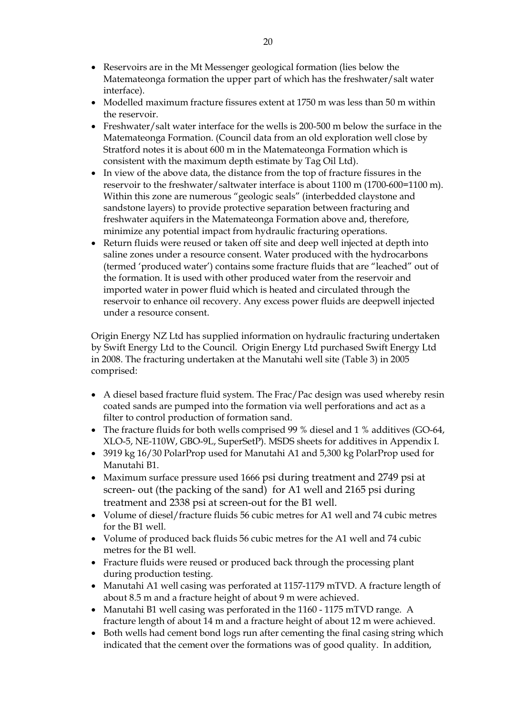- Reservoirs are in the Mt Messenger geological formation (lies below the Matemateonga formation the upper part of which has the freshwater/salt water interface).
- Modelled maximum fracture fissures extent at 1750 m was less than 50 m within the reservoir.
- Freshwater/salt water interface for the wells is 200-500 m below the surface in the Matemateonga Formation. (Council data from an old exploration well close by Stratford notes it is about 600 m in the Matemateonga Formation which is consistent with the maximum depth estimate by Tag Oil Ltd).
- In view of the above data, the distance from the top of fracture fissures in the reservoir to the freshwater/saltwater interface is about 1100 m (1700-600=1100 m). Within this zone are numerous "geologic seals" (interbedded claystone and sandstone layers) to provide protective separation between fracturing and freshwater aquifers in the Matemateonga Formation above and, therefore, minimize any potential impact from hydraulic fracturing operations.
- Return fluids were reused or taken off site and deep well injected at depth into saline zones under a resource consent. Water produced with the hydrocarbons (termed 'produced water') contains some fracture fluids that are "leached" out of the formation. It is used with other produced water from the reservoir and imported water in power fluid which is heated and circulated through the reservoir to enhance oil recovery. Any excess power fluids are deepwell injected under a resource consent.

Origin Energy NZ Ltd has supplied information on hydraulic fracturing undertaken by Swift Energy Ltd to the Council. Origin Energy Ltd purchased Swift Energy Ltd in 2008. The fracturing undertaken at the Manutahi well site (Table 3) in 2005 comprised:

- A diesel based fracture fluid system. The Frac/Pac design was used whereby resin coated sands are pumped into the formation via well perforations and act as a filter to control production of formation sand.
- The fracture fluids for both wells comprised 99 % diesel and 1 % additives (GO-64, XLO-5, NE-110W, GBO-9L, SuperSetP). MSDS sheets for additives in Appendix I.
- 3919 kg 16/30 PolarProp used for Manutahi A1 and 5,300 kg PolarProp used for Manutahi B1.
- Maximum surface pressure used 1666 psi during treatment and 2749 psi at screen- out (the packing of the sand) for A1 well and 2165 psi during treatment and 2338 psi at screen-out for the B1 well.
- Volume of diesel/fracture fluids 56 cubic metres for A1 well and 74 cubic metres for the B1 well.
- Volume of produced back fluids 56 cubic metres for the A1 well and 74 cubic metres for the B1 well.
- Fracture fluids were reused or produced back through the processing plant during production testing.
- Manutahi A1 well casing was perforated at 1157-1179 mTVD. A fracture length of about 8.5 m and a fracture height of about 9 m were achieved.
- Manutahi B1 well casing was perforated in the 1160 1175 mTVD range. A fracture length of about 14 m and a fracture height of about 12 m were achieved.
- Both wells had cement bond logs run after cementing the final casing string which indicated that the cement over the formations was of good quality. In addition,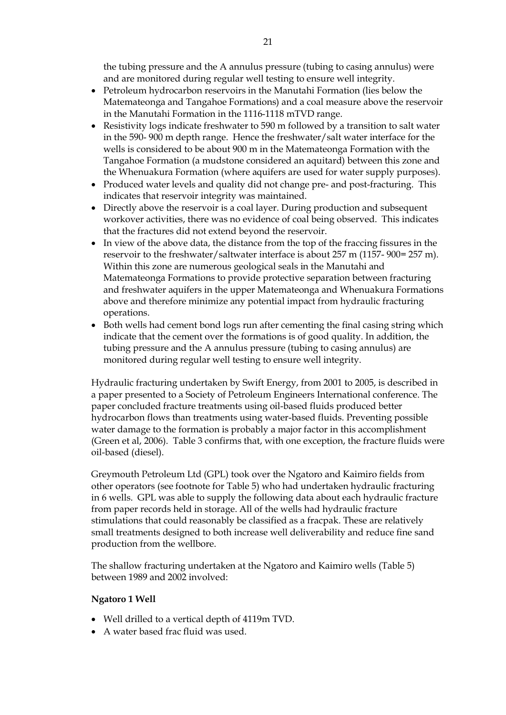the tubing pressure and the A annulus pressure (tubing to casing annulus) were and are monitored during regular well testing to ensure well integrity.

- Petroleum hydrocarbon reservoirs in the Manutahi Formation (lies below the Matemateonga and Tangahoe Formations) and a coal measure above the reservoir in the Manutahi Formation in the 1116-1118 mTVD range.
- Resistivity logs indicate freshwater to 590 m followed by a transition to salt water in the 590- 900 m depth range. Hence the freshwater/salt water interface for the wells is considered to be about 900 m in the Matemateonga Formation with the Tangahoe Formation (a mudstone considered an aquitard) between this zone and the Whenuakura Formation (where aquifers are used for water supply purposes).
- Produced water levels and quality did not change pre- and post-fracturing. This indicates that reservoir integrity was maintained.
- Directly above the reservoir is a coal layer. During production and subsequent workover activities, there was no evidence of coal being observed. This indicates that the fractures did not extend beyond the reservoir.
- In view of the above data, the distance from the top of the fraccing fissures in the reservoir to the freshwater/saltwater interface is about 257 m (1157- 900= 257 m). Within this zone are numerous geological seals in the Manutahi and Matemateonga Formations to provide protective separation between fracturing and freshwater aquifers in the upper Matemateonga and Whenuakura Formations above and therefore minimize any potential impact from hydraulic fracturing operations.
- Both wells had cement bond logs run after cementing the final casing string which indicate that the cement over the formations is of good quality. In addition, the tubing pressure and the A annulus pressure (tubing to casing annulus) are monitored during regular well testing to ensure well integrity.

Hydraulic fracturing undertaken by Swift Energy, from 2001 to 2005, is described in a paper presented to a Society of Petroleum Engineers International conference. The paper concluded fracture treatments using oil-based fluids produced better hydrocarbon flows than treatments using water-based fluids. Preventing possible water damage to the formation is probably a major factor in this accomplishment (Green et al, 2006). Table 3 confirms that, with one exception, the fracture fluids were oil-based (diesel).

Greymouth Petroleum Ltd (GPL) took over the Ngatoro and Kaimiro fields from other operators (see footnote for Table 5) who had undertaken hydraulic fracturing in 6 wells. GPL was able to supply the following data about each hydraulic fracture from paper records held in storage. All of the wells had hydraulic fracture stimulations that could reasonably be classified as a fracpak. These are relatively small treatments designed to both increase well deliverability and reduce fine sand production from the wellbore.

The shallow fracturing undertaken at the Ngatoro and Kaimiro wells (Table 5) between 1989 and 2002 involved:

### **Ngatoro 1 Well**

- Well drilled to a vertical depth of 4119m TVD.
- A water based frac fluid was used.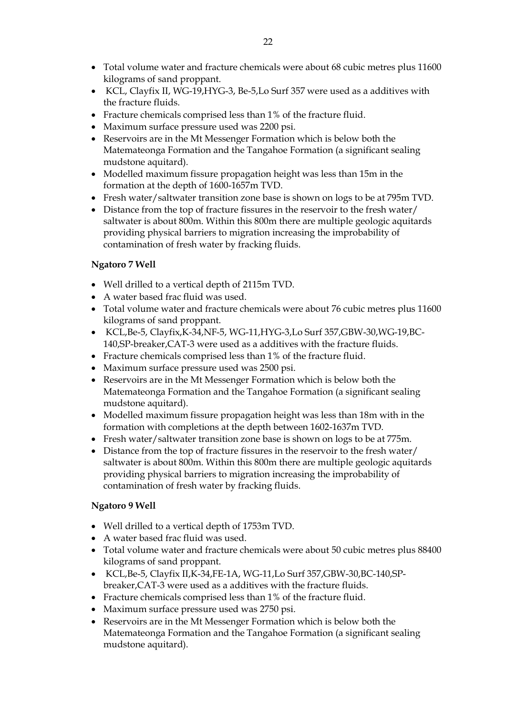- Total volume water and fracture chemicals were about 68 cubic metres plus 11600 kilograms of sand proppant.
- KCL, Clayfix II, WG-19,HYG-3, Be-5,Lo Surf 357 were used as a additives with the fracture fluids.
- Fracture chemicals comprised less than 1% of the fracture fluid.
- Maximum surface pressure used was 2200 psi.
- Reservoirs are in the Mt Messenger Formation which is below both the Matemateonga Formation and the Tangahoe Formation (a significant sealing mudstone aquitard).
- Modelled maximum fissure propagation height was less than 15m in the formation at the depth of 1600-1657m TVD.
- Fresh water/saltwater transition zone base is shown on logs to be at 795m TVD.
- Distance from the top of fracture fissures in the reservoir to the fresh water/ saltwater is about 800m. Within this 800m there are multiple geologic aquitards providing physical barriers to migration increasing the improbability of contamination of fresh water by fracking fluids.

### **Ngatoro 7 Well**

- Well drilled to a vertical depth of 2115m TVD.
- A water based frac fluid was used.
- Total volume water and fracture chemicals were about 76 cubic metres plus 11600 kilograms of sand proppant.
- KCL,Be-5, Clayfix,K-34,NF-5, WG-11,HYG-3,Lo Surf 357,GBW-30,WG-19,BC-140,SP-breaker,CAT-3 were used as a additives with the fracture fluids.
- Fracture chemicals comprised less than 1% of the fracture fluid.
- Maximum surface pressure used was 2500 psi.
- Reservoirs are in the Mt Messenger Formation which is below both the Matemateonga Formation and the Tangahoe Formation (a significant sealing mudstone aquitard).
- Modelled maximum fissure propagation height was less than 18m with in the formation with completions at the depth between 1602-1637m TVD.
- Fresh water/saltwater transition zone base is shown on logs to be at 775m.
- Distance from the top of fracture fissures in the reservoir to the fresh water/ saltwater is about 800m. Within this 800m there are multiple geologic aquitards providing physical barriers to migration increasing the improbability of contamination of fresh water by fracking fluids.

### **Ngatoro 9 Well**

- Well drilled to a vertical depth of 1753m TVD.
- A water based frac fluid was used.
- Total volume water and fracture chemicals were about 50 cubic metres plus 88400 kilograms of sand proppant.
- KCL,Be-5, Clayfix II,K-34,FE-1A, WG-11,Lo Surf 357,GBW-30,BC-140,SPbreaker,CAT-3 were used as a additives with the fracture fluids.
- Fracture chemicals comprised less than 1% of the fracture fluid.
- Maximum surface pressure used was 2750 psi.
- Reservoirs are in the Mt Messenger Formation which is below both the Matemateonga Formation and the Tangahoe Formation (a significant sealing mudstone aquitard).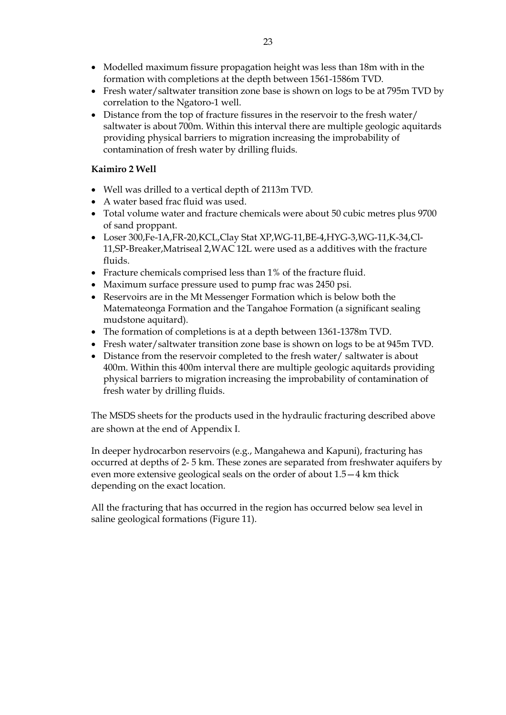- Modelled maximum fissure propagation height was less than 18m with in the formation with completions at the depth between 1561-1586m TVD.
- Fresh water/saltwater transition zone base is shown on logs to be at 795m TVD by correlation to the Ngatoro-1 well.
- Distance from the top of fracture fissures in the reservoir to the fresh water/ saltwater is about 700m. Within this interval there are multiple geologic aquitards providing physical barriers to migration increasing the improbability of contamination of fresh water by drilling fluids.

### **Kaimiro 2 Well**

- Well was drilled to a vertical depth of 2113m TVD.
- A water based frac fluid was used.
- Total volume water and fracture chemicals were about 50 cubic metres plus 9700 of sand proppant.
- Loser 300,Fe-1A,FR-20,KCL,Clay Stat XP,WG-11,BE-4,HYG-3,WG-11,K-34,Cl-11,SP-Breaker,Matriseal 2,WAC 12L were used as a additives with the fracture fluids.
- Fracture chemicals comprised less than 1% of the fracture fluid.
- Maximum surface pressure used to pump frac was 2450 psi.
- Reservoirs are in the Mt Messenger Formation which is below both the Matemateonga Formation and the Tangahoe Formation (a significant sealing mudstone aquitard).
- The formation of completions is at a depth between 1361-1378m TVD.
- Fresh water/saltwater transition zone base is shown on logs to be at 945m TVD.
- Distance from the reservoir completed to the fresh water/ saltwater is about 400m. Within this 400m interval there are multiple geologic aquitards providing physical barriers to migration increasing the improbability of contamination of fresh water by drilling fluids.

The MSDS sheets for the products used in the hydraulic fracturing described above are shown at the end of Appendix I.

In deeper hydrocarbon reservoirs (e.g., Mangahewa and Kapuni), fracturing has occurred at depths of 2- 5 km. These zones are separated from freshwater aquifers by even more extensive geological seals on the order of about 1.5—4 km thick depending on the exact location.

All the fracturing that has occurred in the region has occurred below sea level in saline geological formations (Figure 11).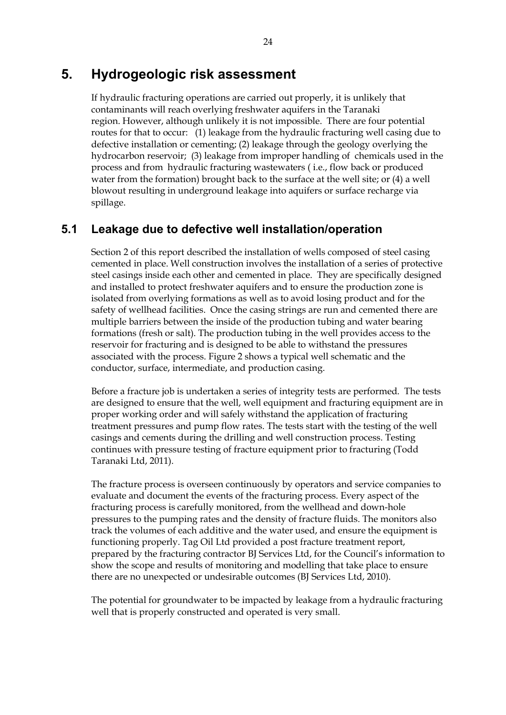## **5. Hydrogeologic risk assessment**

If hydraulic fracturing operations are carried out properly, it is unlikely that contaminants will reach overlying freshwater aquifers in the Taranaki region. However, although unlikely it is not impossible. There are four potential routes for that to occur: (1) leakage from the hydraulic fracturing well casing due to defective installation or cementing; (2) leakage through the geology overlying the hydrocarbon reservoir; (3) leakage from improper handling of chemicals used in the process and from hydraulic fracturing wastewaters ( i.e., flow back or produced water from the formation) brought back to the surface at the well site; or (4) a well blowout resulting in underground leakage into aquifers or surface recharge via spillage.

## **5.1 Leakage due to defective well installation/operation**

Section 2 of this report described the installation of wells composed of steel casing cemented in place. Well construction involves the installation of a series of protective steel casings inside each other and cemented in place. They are specifically designed and installed to protect freshwater aquifers and to ensure the production zone is isolated from overlying formations as well as to avoid losing product and for the safety of wellhead facilities. Once the casing strings are run and cemented there are multiple barriers between the inside of the production tubing and water bearing formations (fresh or salt). The production tubing in the well provides access to the reservoir for fracturing and is designed to be able to withstand the pressures associated with the process. Figure 2 shows a typical well schematic and the conductor, surface, intermediate, and production casing.

Before a fracture job is undertaken a series of integrity tests are performed. The tests are designed to ensure that the well, well equipment and fracturing equipment are in proper working order and will safely withstand the application of fracturing treatment pressures and pump flow rates. The tests start with the testing of the well casings and cements during the drilling and well construction process. Testing continues with pressure testing of fracture equipment prior to fracturing (Todd Taranaki Ltd, 2011).

The fracture process is overseen continuously by operators and service companies to evaluate and document the events of the fracturing process. Every aspect of the fracturing process is carefully monitored, from the wellhead and down-hole pressures to the pumping rates and the density of fracture fluids. The monitors also track the volumes of each additive and the water used, and ensure the equipment is functioning properly. Tag Oil Ltd provided a post fracture treatment report, prepared by the fracturing contractor BJ Services Ltd, for the Council's information to show the scope and results of monitoring and modelling that take place to ensure there are no unexpected or undesirable outcomes (BJ Services Ltd, 2010).

The potential for groundwater to be impacted by leakage from a hydraulic fracturing well that is properly constructed and operated is very small.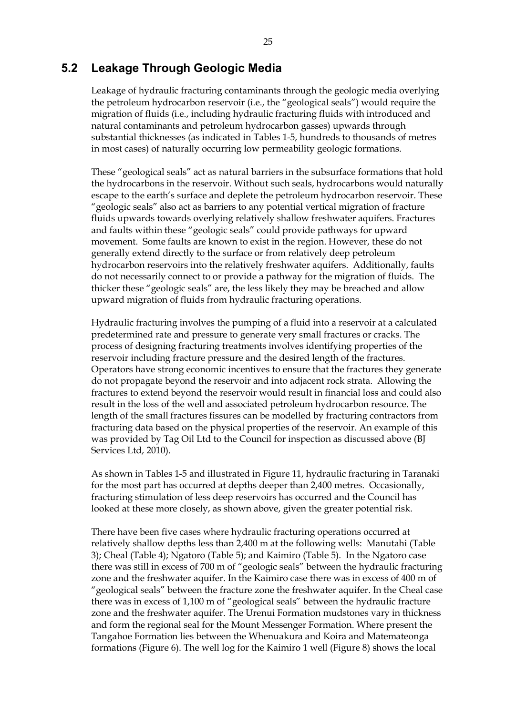### **5.2 Leakage Through Geologic Media**

Leakage of hydraulic fracturing contaminants through the geologic media overlying the petroleum hydrocarbon reservoir (i.e., the "geological seals") would require the migration of fluids (i.e., including hydraulic fracturing fluids with introduced and natural contaminants and petroleum hydrocarbon gasses) upwards through substantial thicknesses (as indicated in Tables 1-5, hundreds to thousands of metres in most cases) of naturally occurring low permeability geologic formations.

These "geological seals" act as natural barriers in the subsurface formations that hold the hydrocarbons in the reservoir. Without such seals, hydrocarbons would naturally escape to the earth's surface and deplete the petroleum hydrocarbon reservoir. These "geologic seals" also act as barriers to any potential vertical migration of fracture fluids upwards towards overlying relatively shallow freshwater aquifers. Fractures and faults within these "geologic seals" could provide pathways for upward movement. Some faults are known to exist in the region. However, these do not generally extend directly to the surface or from relatively deep petroleum hydrocarbon reservoirs into the relatively freshwater aquifers. Additionally, faults do not necessarily connect to or provide a pathway for the migration of fluids. The thicker these "geologic seals" are, the less likely they may be breached and allow upward migration of fluids from hydraulic fracturing operations.

Hydraulic fracturing involves the pumping of a fluid into a reservoir at a calculated predetermined rate and pressure to generate very small fractures or cracks. The process of designing fracturing treatments involves identifying properties of the reservoir including fracture pressure and the desired length of the fractures. Operators have strong economic incentives to ensure that the fractures they generate do not propagate beyond the reservoir and into adjacent rock strata. Allowing the fractures to extend beyond the reservoir would result in financial loss and could also result in the loss of the well and associated petroleum hydrocarbon resource. The length of the small fractures fissures can be modelled by fracturing contractors from fracturing data based on the physical properties of the reservoir. An example of this was provided by Tag Oil Ltd to the Council for inspection as discussed above (BJ Services Ltd, 2010).

As shown in Tables 1-5 and illustrated in Figure 11, hydraulic fracturing in Taranaki for the most part has occurred at depths deeper than 2,400 metres. Occasionally, fracturing stimulation of less deep reservoirs has occurred and the Council has looked at these more closely, as shown above, given the greater potential risk.

There have been five cases where hydraulic fracturing operations occurred at relatively shallow depths less than 2,400 m at the following wells: Manutahi (Table 3); Cheal (Table 4); Ngatoro (Table 5); and Kaimiro (Table 5). In the Ngatoro case there was still in excess of 700 m of "geologic seals" between the hydraulic fracturing zone and the freshwater aquifer. In the Kaimiro case there was in excess of 400 m of "geological seals" between the fracture zone the freshwater aquifer. In the Cheal case there was in excess of 1,100 m of "geological seals" between the hydraulic fracture zone and the freshwater aquifer. The Urenui Formation mudstones vary in thickness and form the regional seal for the Mount Messenger Formation. Where present the Tangahoe Formation lies between the Whenuakura and Koira and Matemateonga formations (Figure 6). The well log for the Kaimiro 1 well (Figure 8) shows the local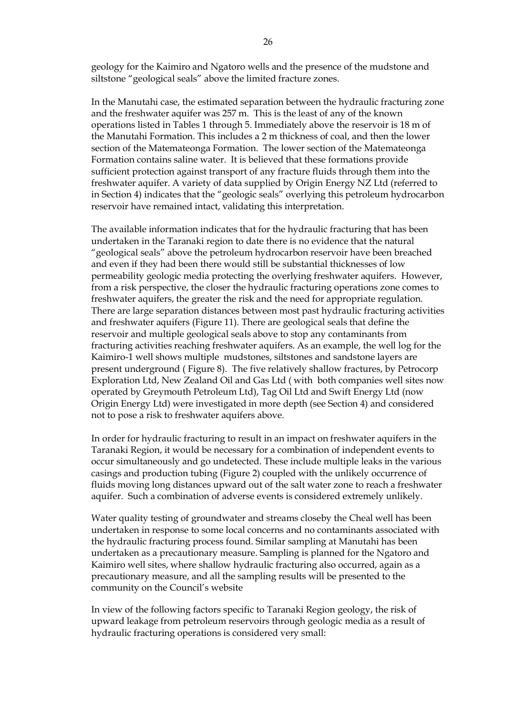geology for the Kaimiro and Ngatoro wells and the presence of the mudstone and siltstone "geological seals" above the limited fracture zones.

In the Manutahi case, the estimated separation between the hydraulic fracturing zone and the freshwater aquifer was 257 m. This is the least of any of the known operations listed in Tables 1 through 5. Immediately above the reservoir is 18 m of the Manutahi Formation. This includes a 2 m thickness of coal, and then the lower section of the Matemateonga Formation. The lower section of the Matemateonga Formation contains saline water. It is believed that these formations provide sufficient protection against transport of any fracture fluids through them into the freshwater aquifer. A variety of data supplied by Origin Energy NZ Ltd (referred to in Section 4) indicates that the "geologic seals" overlying this petroleum hydrocarbon reservoir have remained intact, validating this interpretation.

The available information indicates that for the hydraulic fracturing that has been undertaken in the Taranaki region to date there is no evidence that the natural "geological seals" above the petroleum hydrocarbon reservoir have been breached and even if they had been there would still be substantial thicknesses of low permeability geologic media protecting the overlying freshwater aquifers. However, from a risk perspective, the closer the hydraulic fracturing operations zone comes to freshwater aquifers, the greater the risk and the need for appropriate regulation. There are large separation distances between most past hydraulic fracturing activities and freshwater aquifers (Figure 11). There are geological seals that define the reservoir and multiple geological seals above to stop any contaminants from fracturing activities reaching freshwater aquifers. As an example, the well log for the Kaimiro-1 well shows multiple mudstones, siltstones and sandstone layers are present underground ( Figure 8). The five relatively shallow fractures, by Petrocorp Exploration Ltd, New Zealand Oil and Gas Ltd ( with both companies well sites now operated by Greymouth Petroleum Ltd), Tag Oil Ltd and Swift Energy Ltd (now Origin Energy Ltd) were investigated in more depth (see Section 4) and considered not to pose a risk to freshwater aquifers above.

In order for hydraulic fracturing to result in an impact on freshwater aquifers in the Taranaki Region, it would be necessary for a combination of independent events to occur simultaneously and go undetected. These include multiple leaks in the various casings and production tubing (Figure 2) coupled with the unlikely occurrence of fluids moving long distances upward out of the salt water zone to reach a freshwater aquifer. Such a combination of adverse events is considered extremely unlikely.

Water quality testing of groundwater and streams closeby the Cheal well has been undertaken in response to some local concerns and no contaminants associated with the hydraulic fracturing process found. Similar sampling at Manutahi has been undertaken as a precautionary measure. Sampling is planned for the Ngatoro and Kaimiro well sites, where shallow hydraulic fracturing also occurred, again as a precautionary measure, and all the sampling results will be presented to the community on the Council's website

In view of the following factors specific to Taranaki Region geology, the risk of upward leakage from petroleum reservoirs through geologic media as a result of hydraulic fracturing operations is considered very small: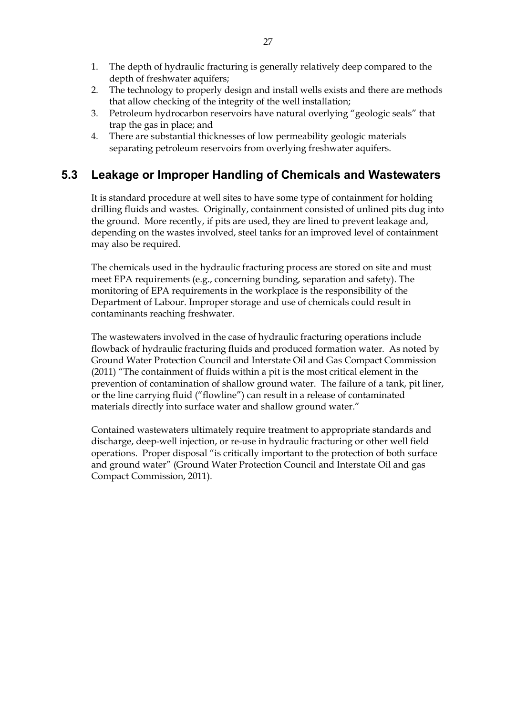- 1. The depth of hydraulic fracturing is generally relatively deep compared to the depth of freshwater aquifers;
- 2. The technology to properly design and install wells exists and there are methods that allow checking of the integrity of the well installation;
- 3. Petroleum hydrocarbon reservoirs have natural overlying "geologic seals" that trap the gas in place; and
- 4. There are substantial thicknesses of low permeability geologic materials separating petroleum reservoirs from overlying freshwater aquifers.

## **5.3 Leakage or Improper Handling of Chemicals and Wastewaters**

It is standard procedure at well sites to have some type of containment for holding drilling fluids and wastes. Originally, containment consisted of unlined pits dug into the ground. More recently, if pits are used, they are lined to prevent leakage and, depending on the wastes involved, steel tanks for an improved level of containment may also be required.

The chemicals used in the hydraulic fracturing process are stored on site and must meet EPA requirements (e.g., concerning bunding, separation and safety). The monitoring of EPA requirements in the workplace is the responsibility of the Department of Labour. Improper storage and use of chemicals could result in contaminants reaching freshwater.

The wastewaters involved in the case of hydraulic fracturing operations include flowback of hydraulic fracturing fluids and produced formation water. As noted by Ground Water Protection Council and Interstate Oil and Gas Compact Commission (2011) "The containment of fluids within a pit is the most critical element in the prevention of contamination of shallow ground water. The failure of a tank, pit liner, or the line carrying fluid ("flowline") can result in a release of contaminated materials directly into surface water and shallow ground water."

Contained wastewaters ultimately require treatment to appropriate standards and discharge, deep-well injection, or re-use in hydraulic fracturing or other well field operations. Proper disposal "is critically important to the protection of both surface and ground water" (Ground Water Protection Council and Interstate Oil and gas Compact Commission, 2011).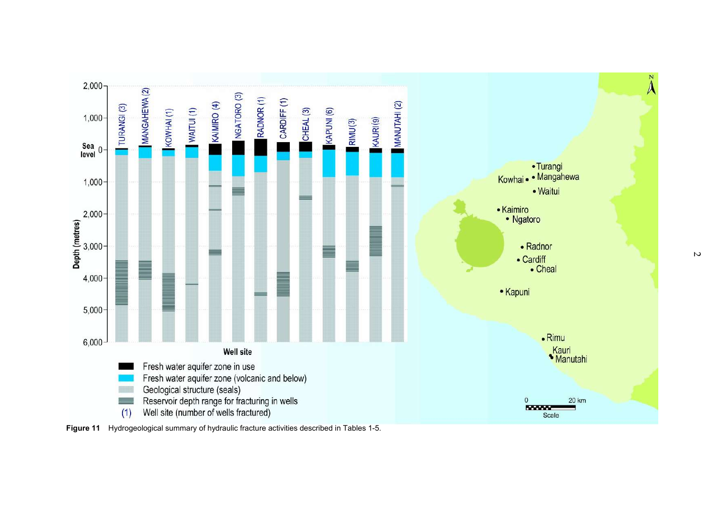

**Figure 11** Hydrogeological summary of hydraulic fracture activities described in Tables 1-5.

 $\overline{v}$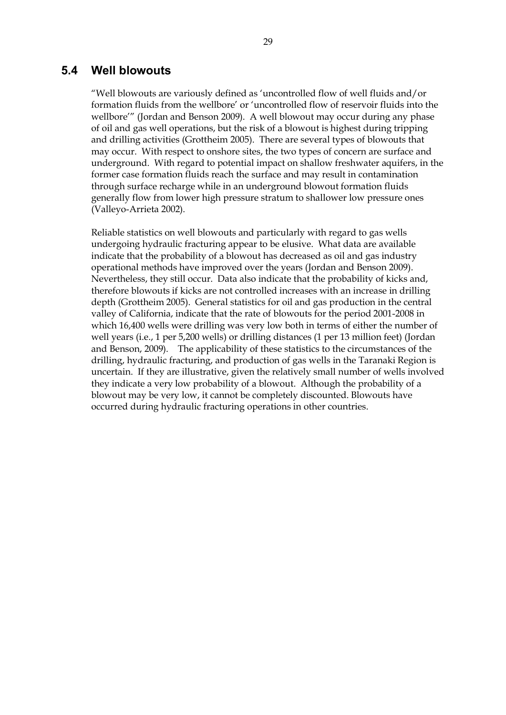### **5.4 Well blowouts**

"Well blowouts are variously defined as 'uncontrolled flow of well fluids and/or formation fluids from the wellbore' or 'uncontrolled flow of reservoir fluids into the wellbore'" (Jordan and Benson 2009). A well blowout may occur during any phase of oil and gas well operations, but the risk of a blowout is highest during tripping and drilling activities (Grottheim 2005). There are several types of blowouts that may occur. With respect to onshore sites, the two types of concern are surface and underground. With regard to potential impact on shallow freshwater aquifers, in the former case formation fluids reach the surface and may result in contamination through surface recharge while in an underground blowout formation fluids generally flow from lower high pressure stratum to shallower low pressure ones (Valleyo-Arrieta 2002).

Reliable statistics on well blowouts and particularly with regard to gas wells undergoing hydraulic fracturing appear to be elusive. What data are available indicate that the probability of a blowout has decreased as oil and gas industry operational methods have improved over the years (Jordan and Benson 2009). Nevertheless, they still occur. Data also indicate that the probability of kicks and, therefore blowouts if kicks are not controlled increases with an increase in drilling depth (Grottheim 2005). General statistics for oil and gas production in the central valley of California, indicate that the rate of blowouts for the period 2001-2008 in which 16,400 wells were drilling was very low both in terms of either the number of well years (i.e., 1 per 5,200 wells) or drilling distances (1 per 13 million feet) (Jordan and Benson, 2009). The applicability of these statistics to the circumstances of the drilling, hydraulic fracturing, and production of gas wells in the Taranaki Region is uncertain. If they are illustrative, given the relatively small number of wells involved they indicate a very low probability of a blowout. Although the probability of a blowout may be very low, it cannot be completely discounted. Blowouts have occurred during hydraulic fracturing operations in other countries.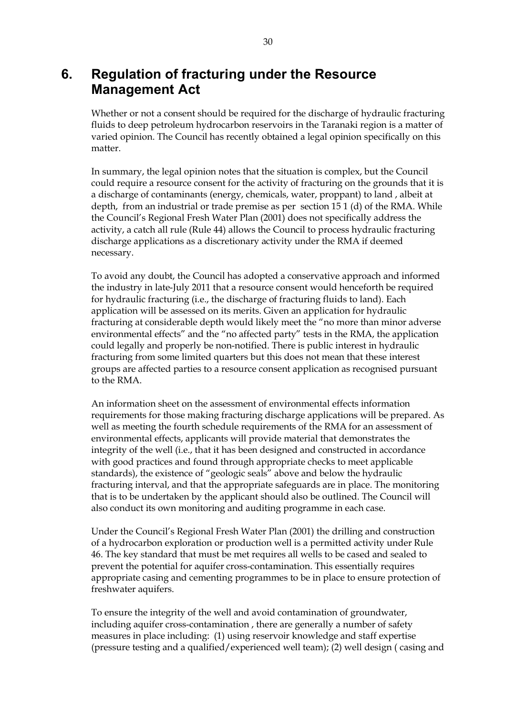## **6. Regulation of fracturing under the Resource Management Act**

Whether or not a consent should be required for the discharge of hydraulic fracturing fluids to deep petroleum hydrocarbon reservoirs in the Taranaki region is a matter of varied opinion. The Council has recently obtained a legal opinion specifically on this matter.

In summary, the legal opinion notes that the situation is complex, but the Council could require a resource consent for the activity of fracturing on the grounds that it is a discharge of contaminants (energy, chemicals, water, proppant) to land , albeit at depth, from an industrial or trade premise as per section 15 1 (d) of the RMA. While the Council's Regional Fresh Water Plan (2001) does not specifically address the activity, a catch all rule (Rule 44) allows the Council to process hydraulic fracturing discharge applications as a discretionary activity under the RMA if deemed necessary.

To avoid any doubt, the Council has adopted a conservative approach and informed the industry in late-July 2011 that a resource consent would henceforth be required for hydraulic fracturing (i.e., the discharge of fracturing fluids to land). Each application will be assessed on its merits. Given an application for hydraulic fracturing at considerable depth would likely meet the "no more than minor adverse environmental effects" and the "no affected party" tests in the RMA, the application could legally and properly be non-notified. There is public interest in hydraulic fracturing from some limited quarters but this does not mean that these interest groups are affected parties to a resource consent application as recognised pursuant to the RMA.

An information sheet on the assessment of environmental effects information requirements for those making fracturing discharge applications will be prepared. As well as meeting the fourth schedule requirements of the RMA for an assessment of environmental effects, applicants will provide material that demonstrates the integrity of the well (i.e., that it has been designed and constructed in accordance with good practices and found through appropriate checks to meet applicable standards), the existence of "geologic seals" above and below the hydraulic fracturing interval, and that the appropriate safeguards are in place. The monitoring that is to be undertaken by the applicant should also be outlined. The Council will also conduct its own monitoring and auditing programme in each case.

Under the Council's Regional Fresh Water Plan (2001) the drilling and construction of a hydrocarbon exploration or production well is a permitted activity under Rule 46. The key standard that must be met requires all wells to be cased and sealed to prevent the potential for aquifer cross-contamination. This essentially requires appropriate casing and cementing programmes to be in place to ensure protection of freshwater aquifers.

To ensure the integrity of the well and avoid contamination of groundwater, including aquifer cross-contamination , there are generally a number of safety measures in place including: (1) using reservoir knowledge and staff expertise (pressure testing and a qualified/experienced well team); (2) well design ( casing and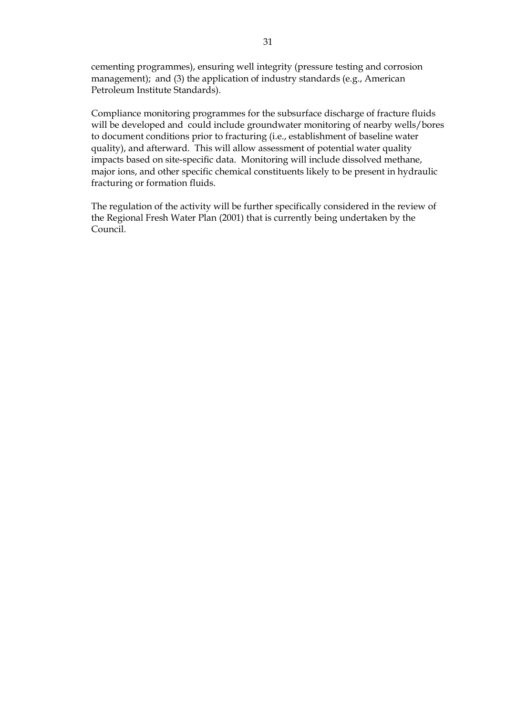cementing programmes), ensuring well integrity (pressure testing and corrosion management); and (3) the application of industry standards (e.g., American Petroleum Institute Standards).

Compliance monitoring programmes for the subsurface discharge of fracture fluids will be developed and could include groundwater monitoring of nearby wells/bores to document conditions prior to fracturing (i.e., establishment of baseline water quality), and afterward. This will allow assessment of potential water quality impacts based on site-specific data. Monitoring will include dissolved methane, major ions, and other specific chemical constituents likely to be present in hydraulic fracturing or formation fluids.

The regulation of the activity will be further specifically considered in the review of the Regional Fresh Water Plan (2001) that is currently being undertaken by the Council.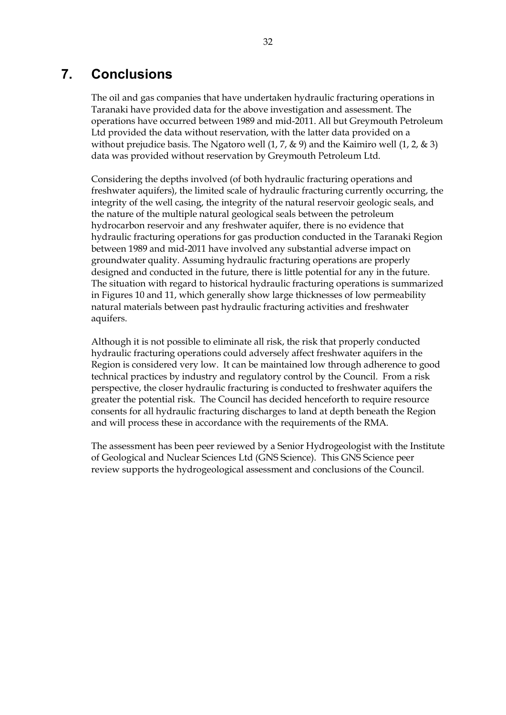# **7. Conclusions**

The oil and gas companies that have undertaken hydraulic fracturing operations in Taranaki have provided data for the above investigation and assessment. The operations have occurred between 1989 and mid-2011. All but Greymouth Petroleum Ltd provided the data without reservation, with the latter data provided on a without prejudice basis. The Ngatoro well  $(1, 7, \& 9)$  and the Kaimiro well  $(1, 2, \& 3)$ data was provided without reservation by Greymouth Petroleum Ltd.

Considering the depths involved (of both hydraulic fracturing operations and freshwater aquifers), the limited scale of hydraulic fracturing currently occurring, the integrity of the well casing, the integrity of the natural reservoir geologic seals, and the nature of the multiple natural geological seals between the petroleum hydrocarbon reservoir and any freshwater aquifer, there is no evidence that hydraulic fracturing operations for gas production conducted in the Taranaki Region between 1989 and mid-2011 have involved any substantial adverse impact on groundwater quality. Assuming hydraulic fracturing operations are properly designed and conducted in the future, there is little potential for any in the future. The situation with regard to historical hydraulic fracturing operations is summarized in Figures 10 and 11, which generally show large thicknesses of low permeability natural materials between past hydraulic fracturing activities and freshwater aquifers.

Although it is not possible to eliminate all risk, the risk that properly conducted hydraulic fracturing operations could adversely affect freshwater aquifers in the Region is considered very low. It can be maintained low through adherence to good technical practices by industry and regulatory control by the Council. From a risk perspective, the closer hydraulic fracturing is conducted to freshwater aquifers the greater the potential risk. The Council has decided henceforth to require resource consents for all hydraulic fracturing discharges to land at depth beneath the Region and will process these in accordance with the requirements of the RMA.

The assessment has been peer reviewed by a Senior Hydrogeologist with the Institute of Geological and Nuclear Sciences Ltd (GNS Science). This GNS Science peer review supports the hydrogeological assessment and conclusions of the Council.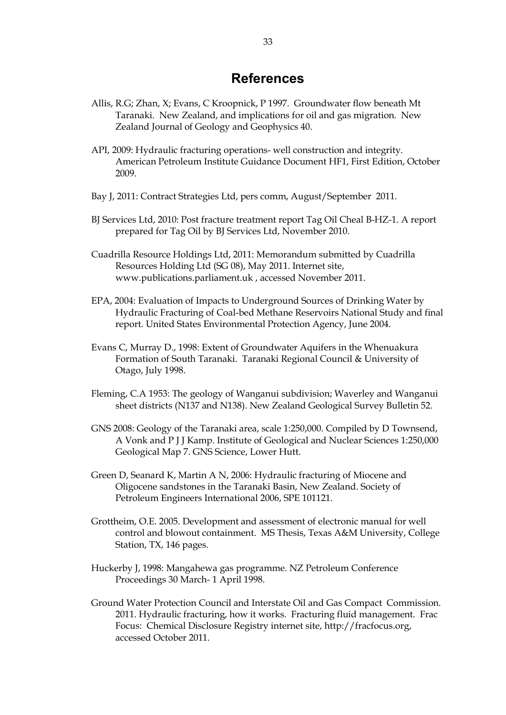## **References**

- Allis, R.G; Zhan, X; Evans, C Kroopnick, P 1997. Groundwater flow beneath Mt Taranaki. New Zealand, and implications for oil and gas migration. New Zealand Journal of Geology and Geophysics 40.
- API, 2009: Hydraulic fracturing operations- well construction and integrity. American Petroleum Institute Guidance Document HF1, First Edition, October 2009.
- Bay J, 2011: Contract Strategies Ltd, pers comm, August/September 2011.
- BJ Services Ltd, 2010: Post fracture treatment report Tag Oil Cheal B-HZ-1. A report prepared for Tag Oil by BJ Services Ltd, November 2010.
- Cuadrilla Resource Holdings Ltd, 2011: Memorandum submitted by Cuadrilla Resources Holding Ltd (SG 08), May 2011. Internet site, www.publications.parliament.uk , accessed November 2011.
- EPA, 2004: Evaluation of Impacts to Underground Sources of Drinking Water by Hydraulic Fracturing of Coal-bed Methane Reservoirs National Study and final report. United States Environmental Protection Agency, June 2004.
- Evans C, Murray D., 1998: Extent of Groundwater Aquifers in the Whenuakura Formation of South Taranaki. Taranaki Regional Council & University of Otago, July 1998.
- Fleming, C.A 1953: The geology of Wanganui subdivision; Waverley and Wanganui sheet districts (N137 and N138). New Zealand Geological Survey Bulletin 52.
- GNS 2008: Geology of the Taranaki area, scale 1:250,000. Compiled by D Townsend, A Vonk and P J J Kamp. Institute of Geological and Nuclear Sciences 1:250,000 Geological Map 7. GNS Science, Lower Hutt.
- Green D, Seanard K, Martin A N, 2006: Hydraulic fracturing of Miocene and Oligocene sandstones in the Taranaki Basin, New Zealand. Society of Petroleum Engineers International 2006, SPE 101121.
- Grottheim, O.E. 2005. Development and assessment of electronic manual for well control and blowout containment. MS Thesis, Texas A&M University, College Station, TX, 146 pages.
- Huckerby J, 1998: Mangahewa gas programme. NZ Petroleum Conference Proceedings 30 March- 1 April 1998.
- Ground Water Protection Council and Interstate Oil and Gas Compact Commission. 2011. Hydraulic fracturing, how it works. Fracturing fluid management. Frac Focus: Chemical Disclosure Registry internet site, http://fracfocus.org, accessed October 2011.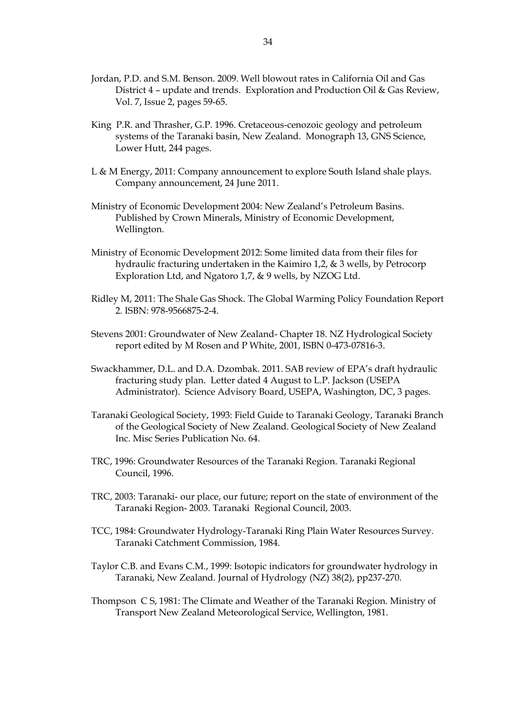- Jordan, P.D. and S.M. Benson. 2009. Well blowout rates in California Oil and Gas District 4 – update and trends. Exploration and Production Oil & Gas Review, Vol. 7, Issue 2, pages 59-65.
- King P.R. and Thrasher, G.P. 1996. Cretaceous-cenozoic geology and petroleum systems of the Taranaki basin, New Zealand. Monograph 13, GNS Science, Lower Hutt, 244 pages.
- L & M Energy, 2011: Company announcement to explore South Island shale plays. Company announcement, 24 June 2011.
- Ministry of Economic Development 2004: New Zealand's Petroleum Basins. Published by Crown Minerals, Ministry of Economic Development, Wellington.
- Ministry of Economic Development 2012: Some limited data from their files for hydraulic fracturing undertaken in the Kaimiro 1,2, & 3 wells, by Petrocorp Exploration Ltd, and Ngatoro 1,7, & 9 wells, by NZOG Ltd.
- Ridley M, 2011: The Shale Gas Shock. The Global Warming Policy Foundation Report 2. ISBN: 978-9566875-2-4.
- Stevens 2001: Groundwater of New Zealand- Chapter 18. NZ Hydrological Society report edited by M Rosen and P White, 2001, ISBN 0-473-07816-3.
- Swackhammer, D.L. and D.A. Dzombak. 2011. SAB review of EPA's draft hydraulic fracturing study plan. Letter dated 4 August to L.P. Jackson (USEPA Administrator). Science Advisory Board, USEPA, Washington, DC, 3 pages.
- Taranaki Geological Society, 1993: Field Guide to Taranaki Geology, Taranaki Branch of the Geological Society of New Zealand. Geological Society of New Zealand Inc. Misc Series Publication No. 64.
- TRC, 1996: Groundwater Resources of the Taranaki Region. Taranaki Regional Council, 1996.
- TRC, 2003: Taranaki- our place, our future; report on the state of environment of the Taranaki Region- 2003. Taranaki Regional Council, 2003.
- TCC, 1984: Groundwater Hydrology-Taranaki Ring Plain Water Resources Survey. Taranaki Catchment Commission, 1984.
- Taylor C.B. and Evans C.M., 1999: Isotopic indicators for groundwater hydrology in Taranaki, New Zealand. Journal of Hydrology (NZ) 38(2), pp237-270.
- Thompson C S, 1981: The Climate and Weather of the Taranaki Region. Ministry of Transport New Zealand Meteorological Service, Wellington, 1981.